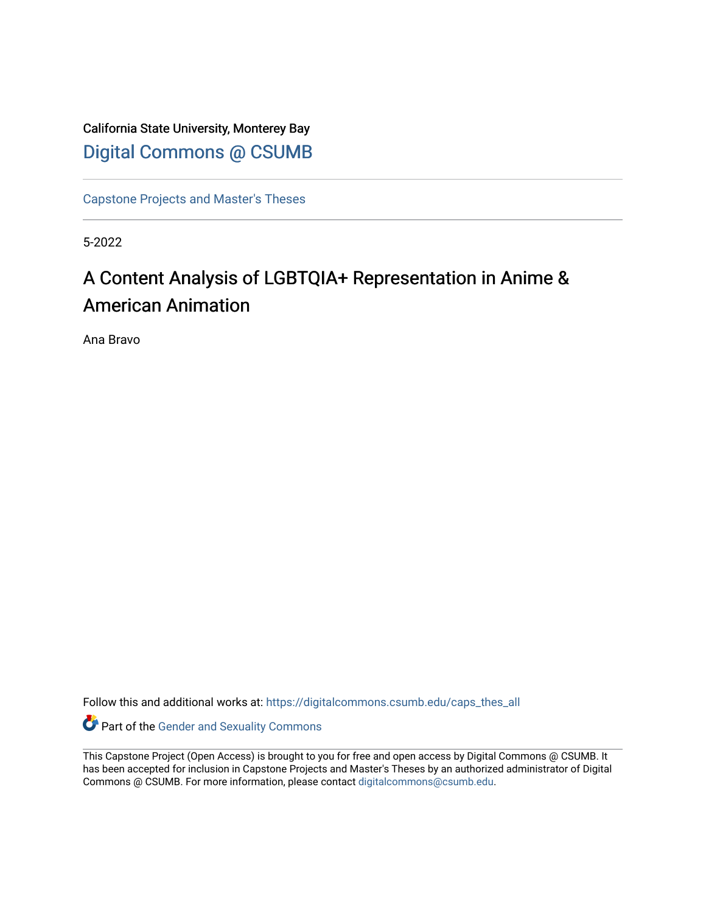California State University, Monterey Bay [Digital Commons @ CSUMB](https://digitalcommons.csumb.edu/)

[Capstone Projects and Master's Theses](https://digitalcommons.csumb.edu/caps_thes_all)

5-2022

# A Content Analysis of LGBTQIA+ Representation in Anime & American Animation

Ana Bravo

Follow this and additional works at: [https://digitalcommons.csumb.edu/caps\\_thes\\_all](https://digitalcommons.csumb.edu/caps_thes_all?utm_source=digitalcommons.csumb.edu%2Fcaps_thes_all%2F1329&utm_medium=PDF&utm_campaign=PDFCoverPages)

Part of the [Gender and Sexuality Commons](https://network.bepress.com/hgg/discipline/420?utm_source=digitalcommons.csumb.edu%2Fcaps_thes_all%2F1329&utm_medium=PDF&utm_campaign=PDFCoverPages)

This Capstone Project (Open Access) is brought to you for free and open access by Digital Commons @ CSUMB. It has been accepted for inclusion in Capstone Projects and Master's Theses by an authorized administrator of Digital Commons @ CSUMB. For more information, please contact [digitalcommons@csumb.edu](mailto:digitalcommons@csumb.edu).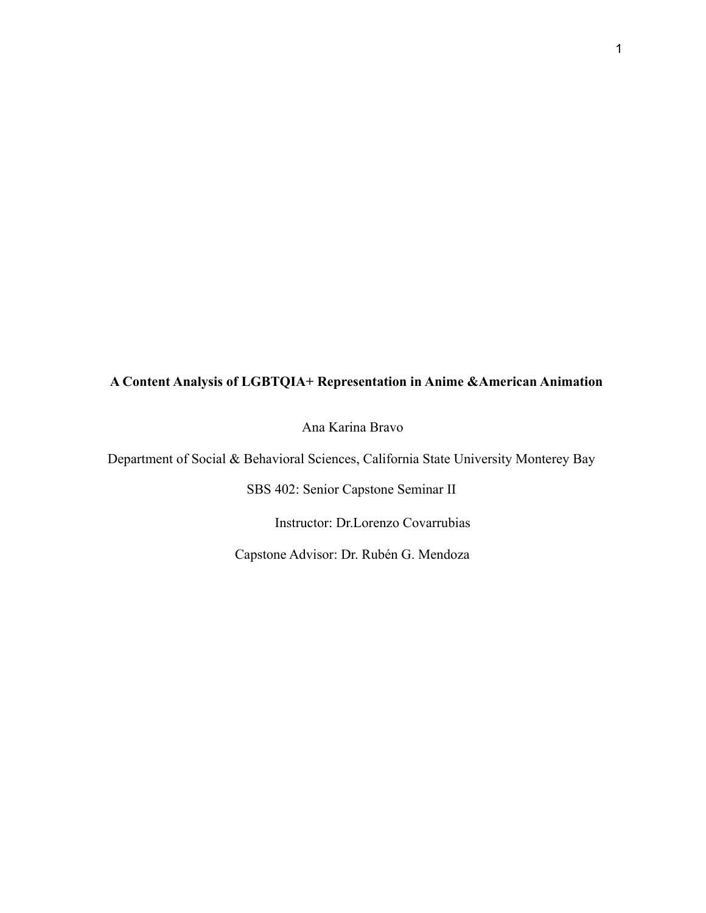## **A Content Analysis of LGBTQIA+ Representation in Anime &American Animation**

Ana Karina Bravo

Department of Social & Behavioral Sciences, California State University Monterey Bay

SBS 402: Senior Capstone Seminar II

Instructor: Dr.Lorenzo Covarrubias

Capstone Advisor: Dr. Rubén G. Mendoza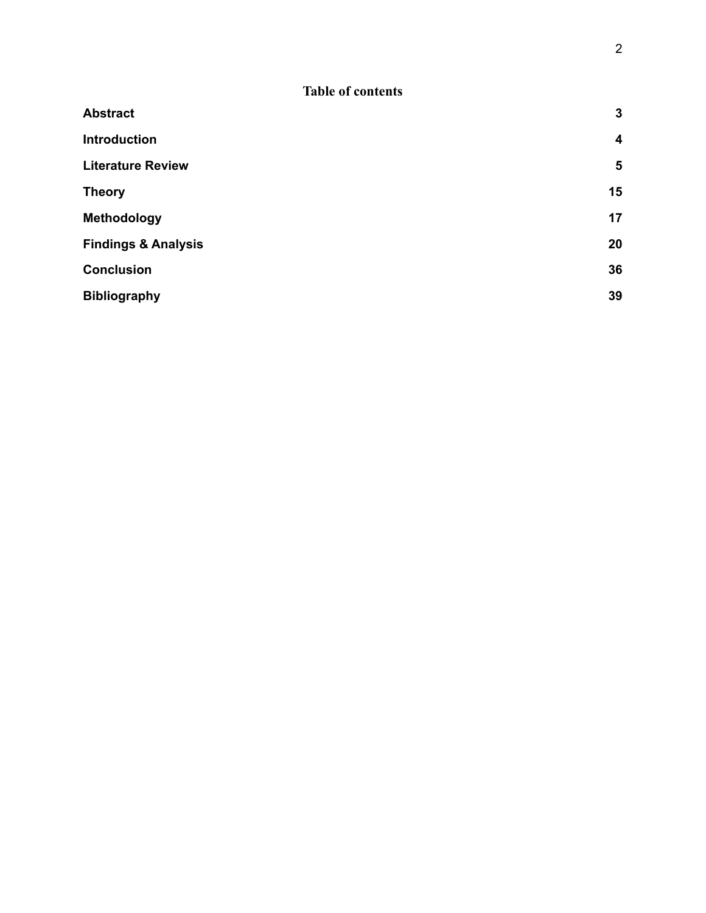| <b>Abstract</b>                | $\mathbf{3}$     |
|--------------------------------|------------------|
| <b>Introduction</b>            | $\boldsymbol{4}$ |
| <b>Literature Review</b>       | $5\phantom{1}$   |
| <b>Theory</b>                  | 15               |
| Methodology                    | 17               |
| <b>Findings &amp; Analysis</b> | 20               |
| <b>Conclusion</b>              | 36               |
| <b>Bibliography</b>            | 39               |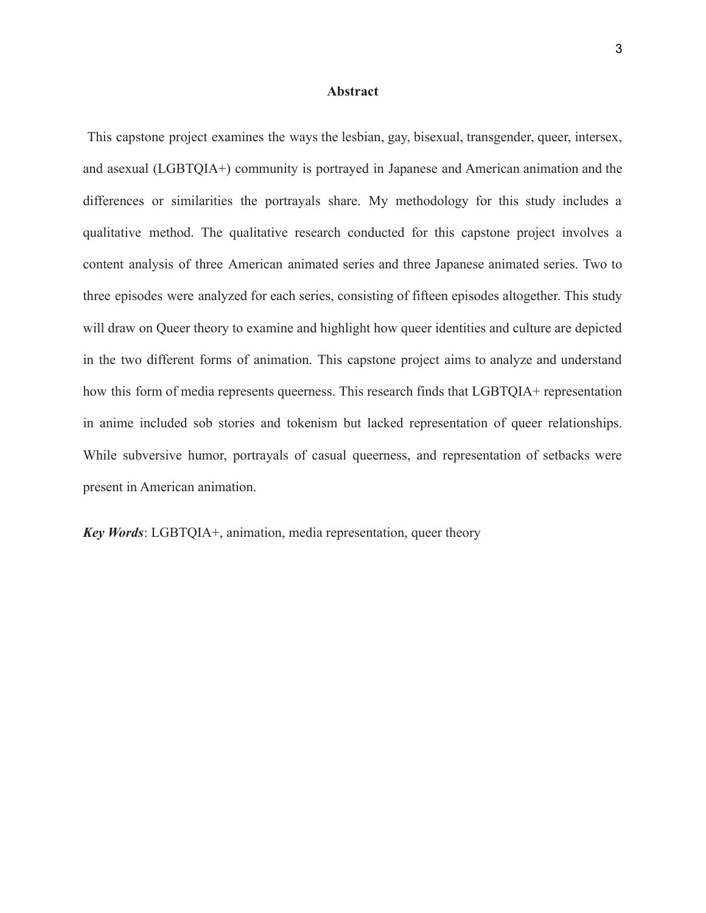#### **Abstract**

<span id="page-3-0"></span>This capstone project examines the ways the lesbian, gay, bisexual, transgender, queer, intersex, and asexual (LGBTQIA+) community is portrayed in Japanese and American animation and the differences or similarities the portrayals share. My methodology for this study includes a qualitative method. The qualitative research conducted for this capstone project involves a content analysis of three American animated series and three Japanese animated series. Two to three episodes were analyzed for each series, consisting of fifteen episodes altogether. This study will draw on Queer theory to examine and highlight how queer identities and culture are depicted in the two different forms of animation. This capstone project aims to analyze and understand how this form of media represents queerness. This research finds that LGBTQIA+ representation in anime included sob stories and tokenism but lacked representation of queer relationships. While subversive humor, portrayals of casual queerness, and representation of setbacks were present in American animation.

*Key Words*: LGBTQIA+, animation, media representation, queer theory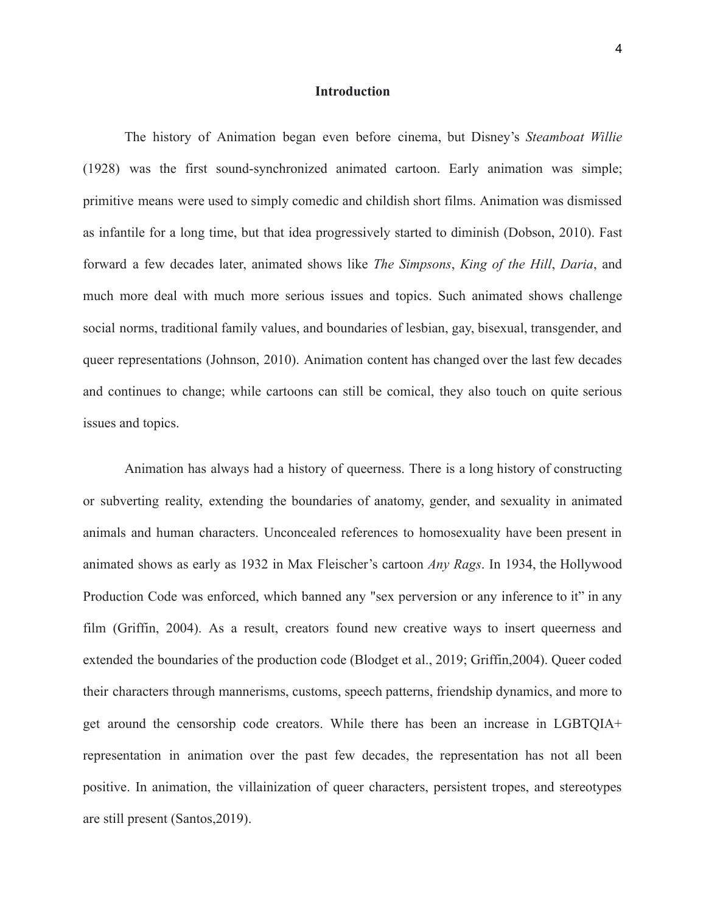#### **Introduction**

<span id="page-4-0"></span>The history of Animation began even before cinema, but Disney's *Steamboat Willie* (1928) was the first sound-synchronized animated cartoon. Early animation was simple; primitive means were used to simply comedic and childish short films. Animation was dismissed as infantile for a long time, but that idea progressively started to diminish (Dobson, 2010). Fast forward a few decades later, animated shows like *The Simpsons*, *King of the Hill*, *Daria*, and much more deal with much more serious issues and topics. Such animated shows challenge social norms, traditional family values, and boundaries of lesbian, gay, bisexual, transgender, and queer representations (Johnson, 2010). Animation content has changed over the last few decades and continues to change; while cartoons can still be comical, they also touch on quite serious issues and topics.

Animation has always had a history of queerness. There is a long history of constructing or subverting reality, extending the boundaries of anatomy, gender, and sexuality in animated animals and human characters. Unconcealed references to homosexuality have been present in animated shows as early as 1932 in Max Fleischer's cartoon *Any Rags*. In 1934, the Hollywood Production Code was enforced, which banned any "sex perversion or any inference to it" in any film (Griffin, 2004). As a result, creators found new creative ways to insert queerness and extended the boundaries of the production code (Blodget et al., 2019; Griffin,2004). Queer coded their characters through mannerisms, customs, speech patterns, friendship dynamics, and more to get around the censorship code creators. While there has been an increase in LGBTQIA+ representation in animation over the past few decades, the representation has not all been positive. In animation, the villainization of queer characters, persistent tropes, and stereotypes are still present (Santos,2019).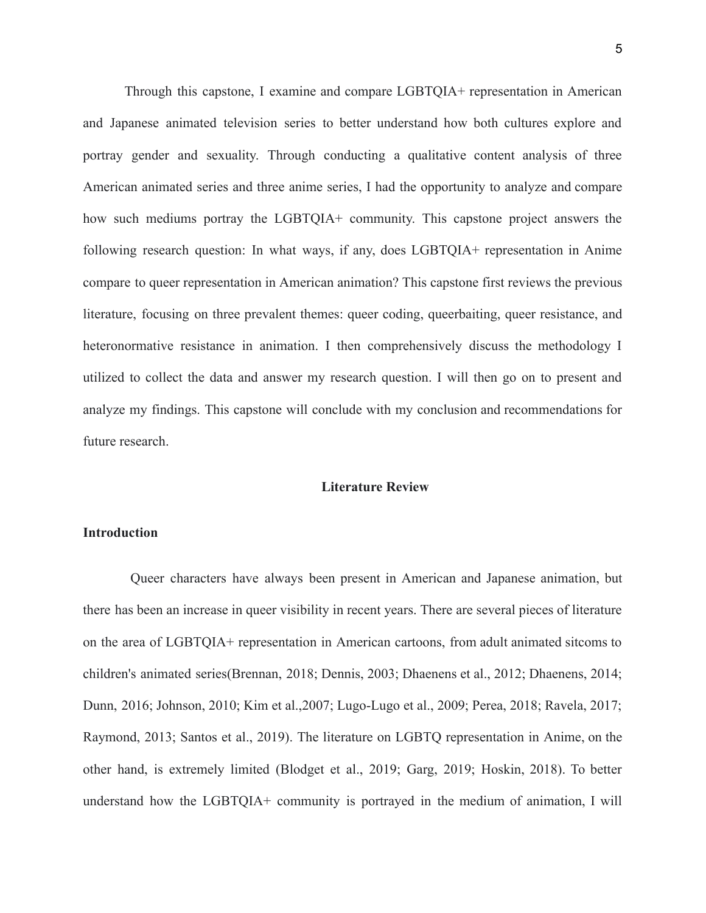Through this capstone, I examine and compare LGBTQIA+ representation in American and Japanese animated television series to better understand how both cultures explore and portray gender and sexuality. Through conducting a qualitative content analysis of three American animated series and three anime series, I had the opportunity to analyze and compare how such mediums portray the LGBTQIA+ community. This capstone project answers the following research question: In what ways, if any, does LGBTQIA+ representation in Anime compare to queer representation in American animation? This capstone first reviews the previous literature, focusing on three prevalent themes: queer coding, queerbaiting, queer resistance, and heteronormative resistance in animation. I then comprehensively discuss the methodology I utilized to collect the data and answer my research question. I will then go on to present and analyze my findings. This capstone will conclude with my conclusion and recommendations for future research.

### **Literature Review**

## <span id="page-5-0"></span>**Introduction**

Queer characters have always been present in American and Japanese animation, but there has been an increase in queer visibility in recent years. There are several pieces of literature on the area of LGBTQIA+ representation in American cartoons, from adult animated sitcoms to children's animated series(Brennan, 2018; Dennis, 2003; Dhaenens et al., 2012; Dhaenens, 2014; Dunn, 2016; Johnson, 2010; Kim et al.,2007; Lugo-Lugo et al., 2009; Perea, 2018; Ravela, 2017; Raymond, 2013; Santos et al., 2019). The literature on LGBTQ representation in Anime, on the other hand, is extremely limited (Blodget et al., 2019; Garg, 2019; Hoskin, 2018). To better understand how the LGBTQIA+ community is portrayed in the medium of animation, I will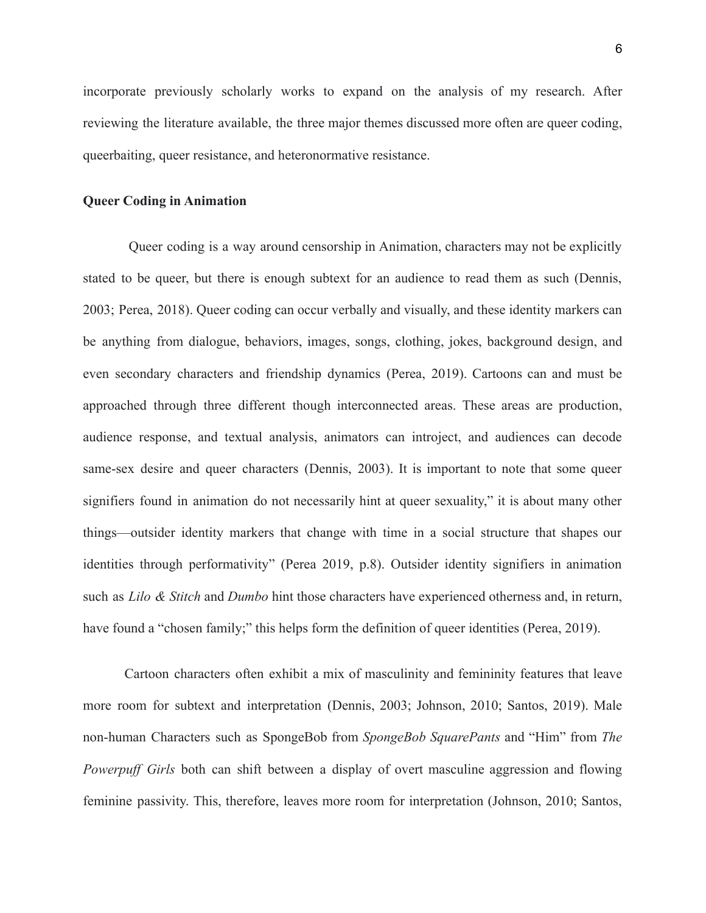incorporate previously scholarly works to expand on the analysis of my research. After reviewing the literature available, the three major themes discussed more often are queer coding, queerbaiting, queer resistance, and heteronormative resistance.

#### **Queer Coding in Animation**

Queer coding is a way around censorship in Animation, characters may not be explicitly stated to be queer, but there is enough subtext for an audience to read them as such (Dennis, 2003; Perea, 2018). Queer coding can occur verbally and visually, and these identity markers can be anything from dialogue, behaviors, images, songs, clothing, jokes, background design, and even secondary characters and friendship dynamics (Perea, 2019). Cartoons can and must be approached through three different though interconnected areas. These areas are production, audience response, and textual analysis, animators can introject, and audiences can decode same-sex desire and queer characters (Dennis, 2003). It is important to note that some queer signifiers found in animation do not necessarily hint at queer sexuality," it is about many other things—outsider identity markers that change with time in a social structure that shapes our identities through performativity" (Perea 2019, p.8). Outsider identity signifiers in animation such as *Lilo & Stitch* and *Dumbo* hint those characters have experienced otherness and, in return, have found a "chosen family;" this helps form the definition of queer identities (Perea, 2019).

Cartoon characters often exhibit a mix of masculinity and femininity features that leave more room for subtext and interpretation (Dennis, 2003; Johnson, 2010; Santos, 2019). Male non-human Characters such as SpongeBob from *SpongeBob SquarePants* and "Him" from *The Powerpuff Girls* both can shift between a display of overt masculine aggression and flowing feminine passivity. This, therefore, leaves more room for interpretation (Johnson, 2010; Santos,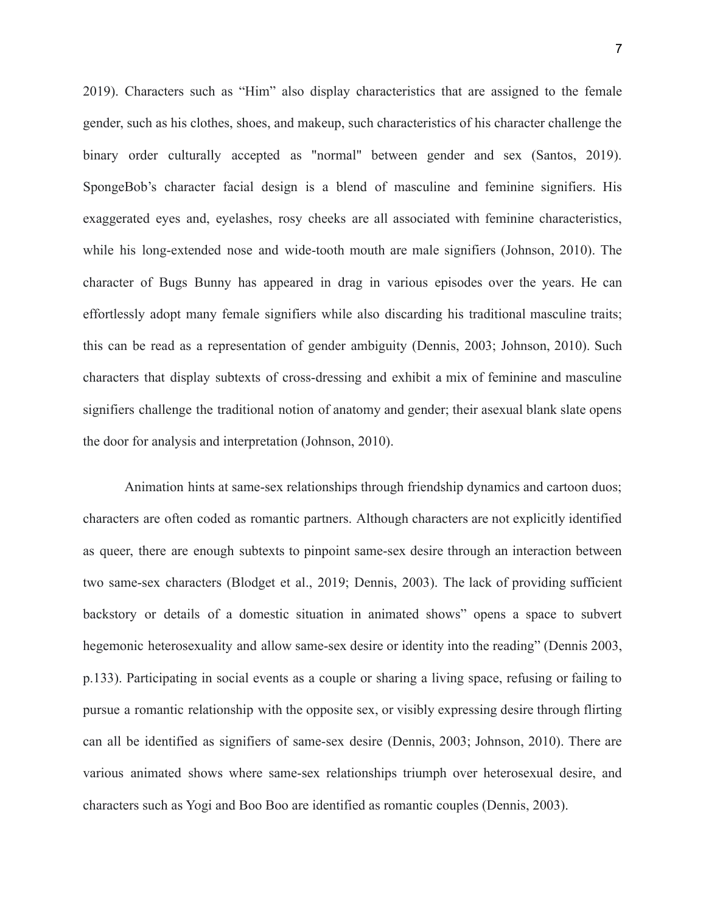2019). Characters such as "Him" also display characteristics that are assigned to the female gender, such as his clothes, shoes, and makeup, such characteristics of his character challenge the binary order culturally accepted as "normal" between gender and sex (Santos, 2019). SpongeBob's character facial design is a blend of masculine and feminine signifiers. His exaggerated eyes and, eyelashes, rosy cheeks are all associated with feminine characteristics, while his long-extended nose and wide-tooth mouth are male signifiers (Johnson, 2010). The character of Bugs Bunny has appeared in drag in various episodes over the years. He can effortlessly adopt many female signifiers while also discarding his traditional masculine traits; this can be read as a representation of gender ambiguity (Dennis, 2003; Johnson, 2010). Such characters that display subtexts of cross-dressing and exhibit a mix of feminine and masculine signifiers challenge the traditional notion of anatomy and gender; their asexual blank slate opens the door for analysis and interpretation (Johnson, 2010).

Animation hints at same-sex relationships through friendship dynamics and cartoon duos; characters are often coded as romantic partners. Although characters are not explicitly identified as queer, there are enough subtexts to pinpoint same-sex desire through an interaction between two same-sex characters (Blodget et al., 2019; Dennis, 2003). The lack of providing sufficient backstory or details of a domestic situation in animated shows" opens a space to subvert hegemonic heterosexuality and allow same-sex desire or identity into the reading" (Dennis 2003, p.133). Participating in social events as a couple or sharing a living space, refusing or failing to pursue a romantic relationship with the opposite sex, or visibly expressing desire through flirting can all be identified as signifiers of same-sex desire (Dennis, 2003; Johnson, 2010). There are various animated shows where same-sex relationships triumph over heterosexual desire, and characters such as Yogi and Boo Boo are identified as romantic couples (Dennis, 2003).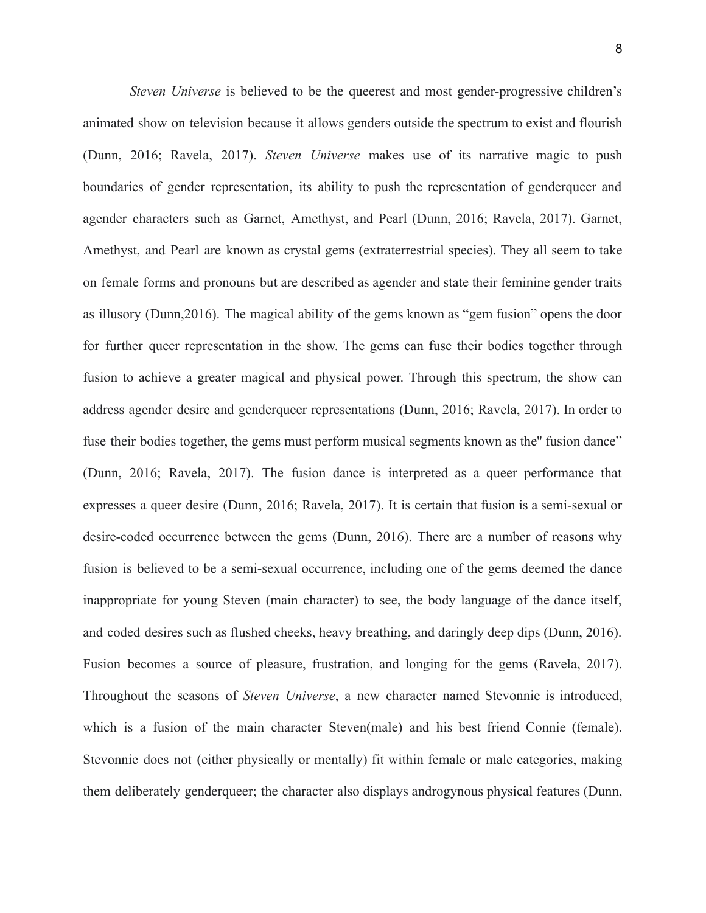*Steven Universe* is believed to be the queerest and most gender-progressive children's animated show on television because it allows genders outside the spectrum to exist and flourish (Dunn, 2016; Ravela, 2017). *Steven Universe* makes use of its narrative magic to push boundaries of gender representation, its ability to push the representation of genderqueer and agender characters such as Garnet, Amethyst, and Pearl (Dunn, 2016; Ravela, 2017). Garnet, Amethyst, and Pearl are known as crystal gems (extraterrestrial species). They all seem to take on female forms and pronouns but are described as agender and state their feminine gender traits as illusory (Dunn,2016). The magical ability of the gems known as "gem fusion" opens the door for further queer representation in the show. The gems can fuse their bodies together through fusion to achieve a greater magical and physical power. Through this spectrum, the show can address agender desire and genderqueer representations (Dunn, 2016; Ravela, 2017). In order to fuse their bodies together, the gems must perform musical segments known as the fusion dance" (Dunn, 2016; Ravela, 2017). The fusion dance is interpreted as a queer performance that expresses a queer desire (Dunn, 2016; Ravela, 2017). It is certain that fusion is a semi-sexual or desire-coded occurrence between the gems (Dunn, 2016). There are a number of reasons why fusion is believed to be a semi-sexual occurrence, including one of the gems deemed the dance inappropriate for young Steven (main character) to see, the body language of the dance itself, and coded desires such as flushed cheeks, heavy breathing, and daringly deep dips (Dunn, 2016). Fusion becomes a source of pleasure, frustration, and longing for the gems (Ravela, 2017). Throughout the seasons of *Steven Universe*, a new character named Stevonnie is introduced, which is a fusion of the main character Steven(male) and his best friend Connie (female). Stevonnie does not (either physically or mentally) fit within female or male categories, making them deliberately genderqueer; the character also displays androgynous physical features (Dunn,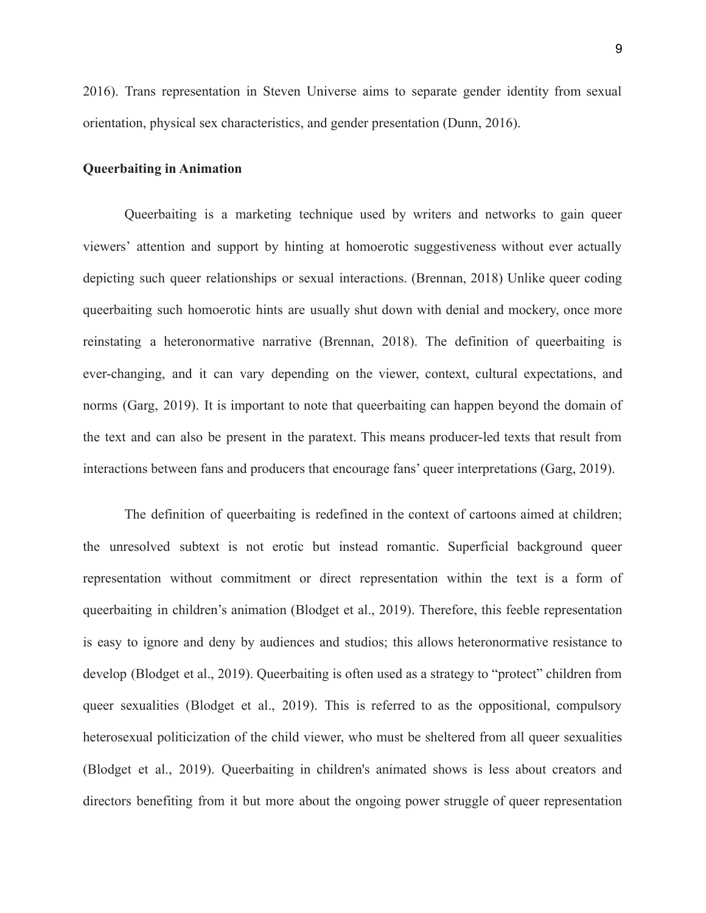2016). Trans representation in Steven Universe aims to separate gender identity from sexual orientation, physical sex characteristics, and gender presentation (Dunn, 2016).

#### **Queerbaiting in Animation**

Queerbaiting is a marketing technique used by writers and networks to gain queer viewers' attention and support by hinting at homoerotic suggestiveness without ever actually depicting such queer relationships or sexual interactions. (Brennan, 2018) Unlike queer coding queerbaiting such homoerotic hints are usually shut down with denial and mockery, once more reinstating a heteronormative narrative (Brennan, 2018). The definition of queerbaiting is ever-changing, and it can vary depending on the viewer, context, cultural expectations, and norms (Garg, 2019). It is important to note that queerbaiting can happen beyond the domain of the text and can also be present in the paratext. This means producer-led texts that result from interactions between fans and producers that encourage fans' queer interpretations (Garg, 2019).

The definition of queerbaiting is redefined in the context of cartoons aimed at children; the unresolved subtext is not erotic but instead romantic. Superficial background queer representation without commitment or direct representation within the text is a form of queerbaiting in children's animation (Blodget et al., 2019). Therefore, this feeble representation is easy to ignore and deny by audiences and studios; this allows heteronormative resistance to develop (Blodget et al., 2019). Queerbaiting is often used as a strategy to "protect" children from queer sexualities (Blodget et al., 2019). This is referred to as the oppositional, compulsory heterosexual politicization of the child viewer, who must be sheltered from all queer sexualities (Blodget et al., 2019). Queerbaiting in children's animated shows is less about creators and directors benefiting from it but more about the ongoing power struggle of queer representation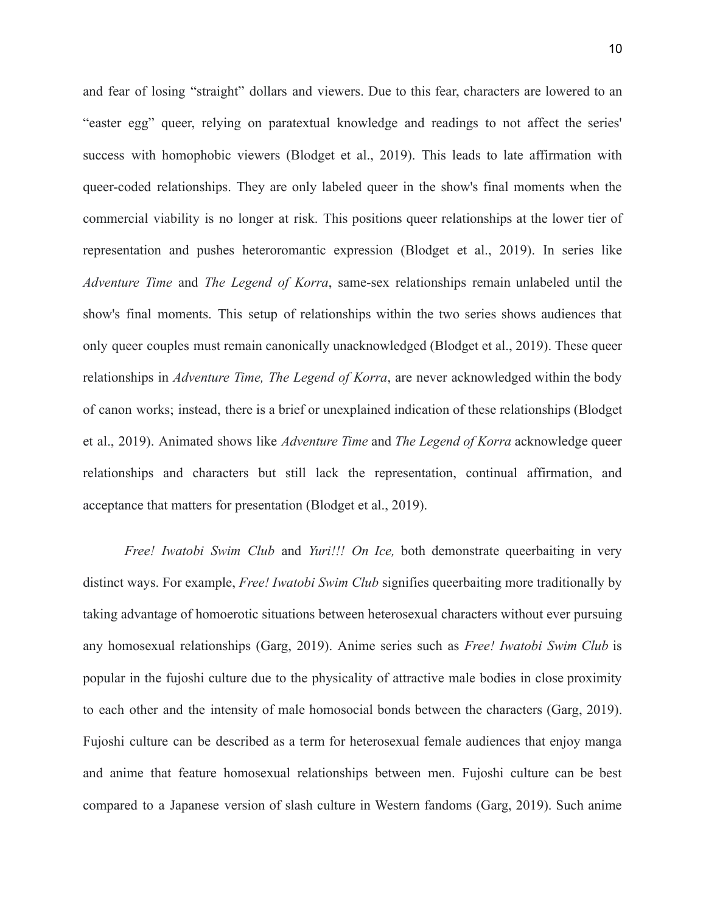and fear of losing "straight" dollars and viewers. Due to this fear, characters are lowered to an "easter egg" queer, relying on paratextual knowledge and readings to not affect the series' success with homophobic viewers (Blodget et al., 2019). This leads to late affirmation with queer-coded relationships. They are only labeled queer in the show's final moments when the commercial viability is no longer at risk. This positions queer relationships at the lower tier of representation and pushes heteroromantic expression (Blodget et al., 2019). In series like *Adventure Time* and *The Legend of Korra*, same-sex relationships remain unlabeled until the show's final moments. This setup of relationships within the two series shows audiences that only queer couples must remain canonically unacknowledged (Blodget et al., 2019). These queer relationships in *Adventure Time, The Legend of Korra*, are never acknowledged within the body of canon works; instead, there is a brief or unexplained indication of these relationships (Blodget et al., 2019). Animated shows like *Adventure Time* and *The Legend of Korra* acknowledge queer relationships and characters but still lack the representation, continual affirmation, and acceptance that matters for presentation (Blodget et al., 2019).

*Free! Iwatobi Swim Club* and *Yuri!!! On Ice,* both demonstrate queerbaiting in very distinct ways. For example, *Free! Iwatobi Swim Club* signifies queerbaiting more traditionally by taking advantage of homoerotic situations between heterosexual characters without ever pursuing any homosexual relationships (Garg, 2019). Anime series such as *Free! Iwatobi Swim Club* is popular in the fujoshi culture due to the physicality of attractive male bodies in close proximity to each other and the intensity of male homosocial bonds between the characters (Garg, 2019). Fujoshi culture can be described as a term for heterosexual female audiences that enjoy manga and anime that feature homosexual relationships between men. Fujoshi culture can be best compared to a Japanese version of slash culture in Western fandoms (Garg, 2019). Such anime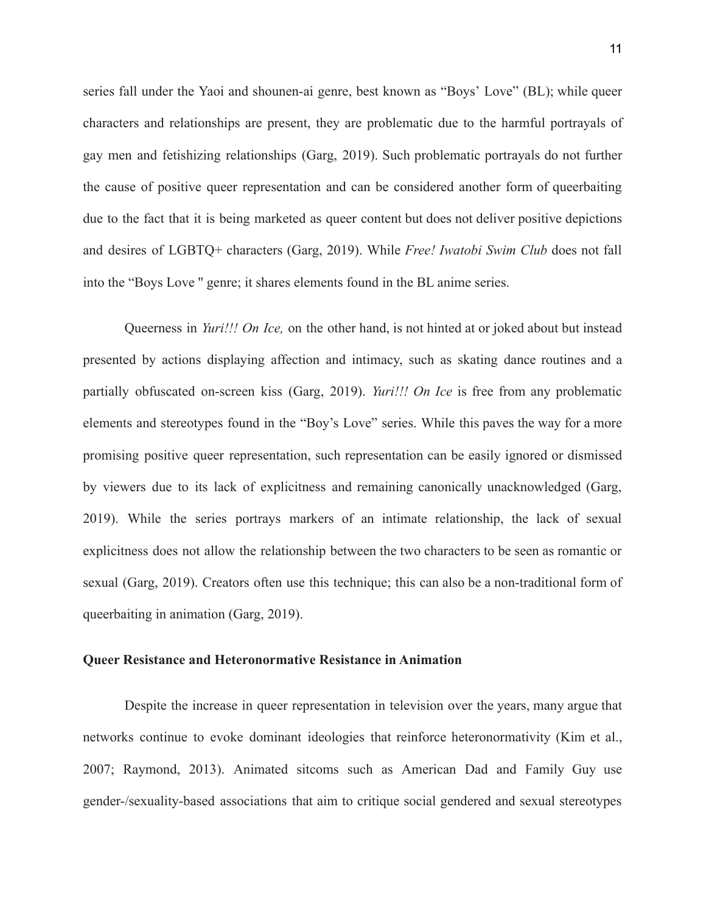series fall under the Yaoi and shounen-ai genre, best known as "Boys' Love" (BL); while queer characters and relationships are present, they are problematic due to the harmful portrayals of gay men and fetishizing relationships (Garg, 2019). Such problematic portrayals do not further the cause of positive queer representation and can be considered another form of queerbaiting due to the fact that it is being marketed as queer content but does not deliver positive depictions and desires of LGBTQ+ characters (Garg, 2019). While *Free! Iwatobi Swim Club* does not fall into the "Boys Love '' genre; it shares elements found in the BL anime series.

Queerness in *Yuri!!! On Ice,* on the other hand, is not hinted at or joked about but instead presented by actions displaying affection and intimacy, such as skating dance routines and a partially obfuscated on-screen kiss (Garg, 2019). *Yuri!!! On Ice* is free from any problematic elements and stereotypes found in the "Boy's Love" series. While this paves the way for a more promising positive queer representation, such representation can be easily ignored or dismissed by viewers due to its lack of explicitness and remaining canonically unacknowledged (Garg, 2019). While the series portrays markers of an intimate relationship, the lack of sexual explicitness does not allow the relationship between the two characters to be seen as romantic or sexual (Garg, 2019). Creators often use this technique; this can also be a non-traditional form of queerbaiting in animation (Garg, 2019).

## **Queer Resistance and Heteronormative Resistance in Animation**

Despite the increase in queer representation in television over the years, many argue that networks continue to evoke dominant ideologies that reinforce heteronormativity (Kim et al., 2007; Raymond, 2013). Animated sitcoms such as American Dad and Family Guy use gender-/sexuality-based associations that aim to critique social gendered and sexual stereotypes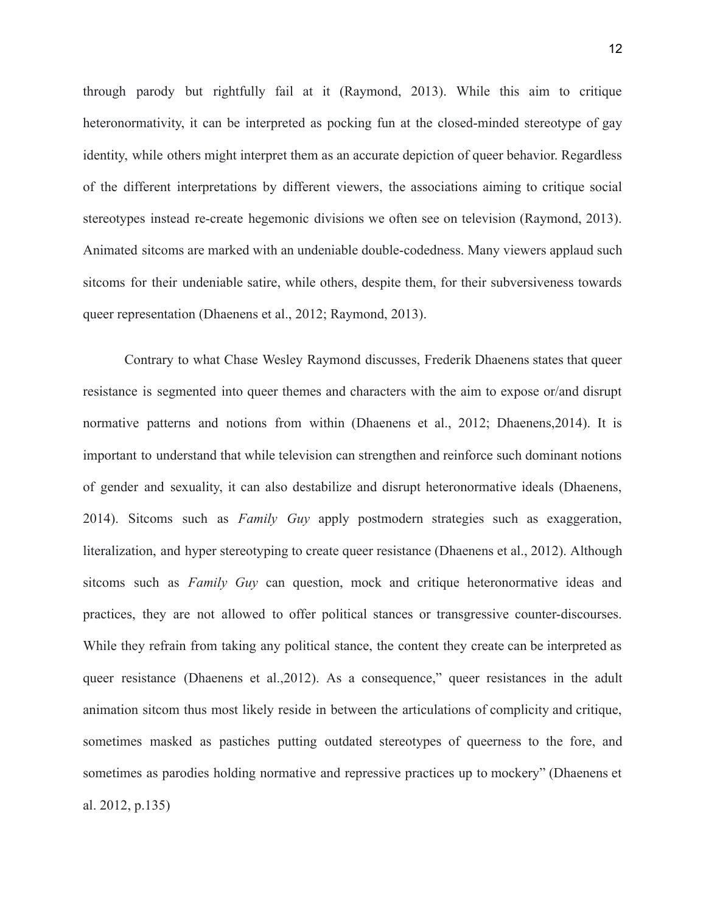through parody but rightfully fail at it (Raymond, 2013). While this aim to critique heteronormativity, it can be interpreted as pocking fun at the closed-minded stereotype of gay identity, while others might interpret them as an accurate depiction of queer behavior. Regardless of the different interpretations by different viewers, the associations aiming to critique social stereotypes instead re-create hegemonic divisions we often see on television (Raymond, 2013). Animated sitcoms are marked with an undeniable double-codedness. Many viewers applaud such sitcoms for their undeniable satire, while others, despite them, for their subversiveness towards queer representation (Dhaenens et al., 2012; Raymond, 2013).

Contrary to what Chase Wesley Raymond discusses, Frederik Dhaenens states that queer resistance is segmented into queer themes and characters with the aim to expose or/and disrupt normative patterns and notions from within (Dhaenens et al., 2012; Dhaenens,2014). It is important to understand that while television can strengthen and reinforce such dominant notions of gender and sexuality, it can also destabilize and disrupt heteronormative ideals (Dhaenens, 2014). Sitcoms such as *Family Guy* apply postmodern strategies such as exaggeration, literalization, and hyper stereotyping to create queer resistance (Dhaenens et al., 2012). Although sitcoms such as *Family Guy* can question, mock and critique heteronormative ideas and practices, they are not allowed to offer political stances or transgressive counter-discourses. While they refrain from taking any political stance, the content they create can be interpreted as queer resistance (Dhaenens et al.,2012). As a consequence," queer resistances in the adult animation sitcom thus most likely reside in between the articulations of complicity and critique, sometimes masked as pastiches putting outdated stereotypes of queerness to the fore, and sometimes as parodies holding normative and repressive practices up to mockery" (Dhaenens et al. 2012, p.135)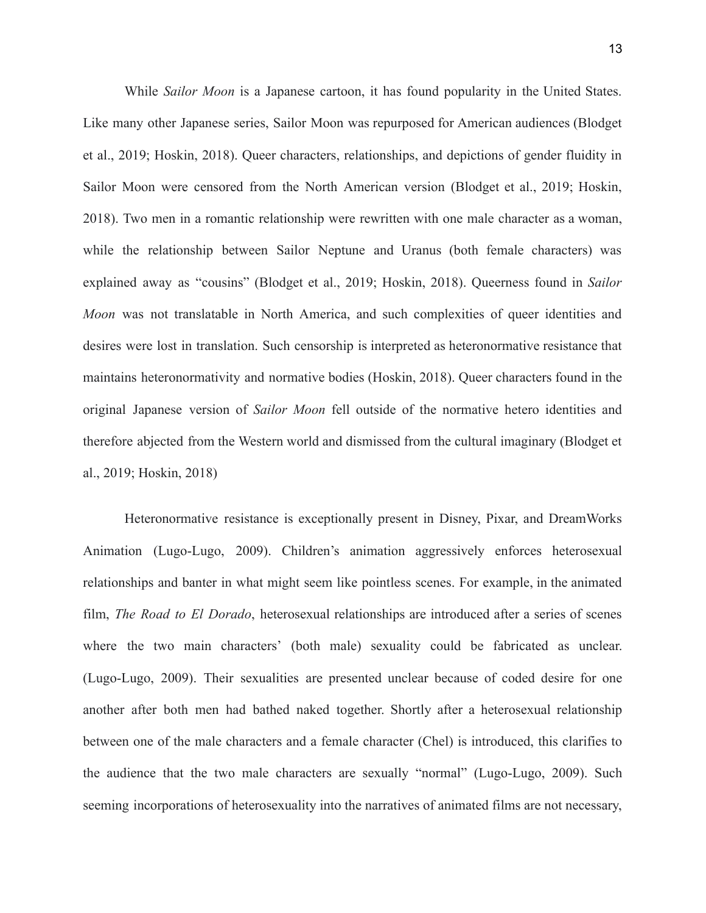While *Sailor Moon* is a Japanese cartoon, it has found popularity in the United States. Like many other Japanese series, Sailor Moon was repurposed for American audiences (Blodget et al., 2019; Hoskin, 2018). Queer characters, relationships, and depictions of gender fluidity in Sailor Moon were censored from the North American version (Blodget et al., 2019; Hoskin, 2018). Two men in a romantic relationship were rewritten with one male character as a woman, while the relationship between Sailor Neptune and Uranus (both female characters) was explained away as "cousins" (Blodget et al., 2019; Hoskin, 2018). Queerness found in *Sailor Moon* was not translatable in North America, and such complexities of queer identities and desires were lost in translation. Such censorship is interpreted as heteronormative resistance that maintains heteronormativity and normative bodies (Hoskin, 2018). Queer characters found in the original Japanese version of *Sailor Moon* fell outside of the normative hetero identities and therefore abjected from the Western world and dismissed from the cultural imaginary (Blodget et al., 2019; Hoskin, 2018)

Heteronormative resistance is exceptionally present in Disney, Pixar, and DreamWorks Animation (Lugo-Lugo, 2009). Children's animation aggressively enforces heterosexual relationships and banter in what might seem like pointless scenes. For example, in the animated film, *The Road to El Dorado*, heterosexual relationships are introduced after a series of scenes where the two main characters' (both male) sexuality could be fabricated as unclear. (Lugo-Lugo, 2009). Their sexualities are presented unclear because of coded desire for one another after both men had bathed naked together. Shortly after a heterosexual relationship between one of the male characters and a female character (Chel) is introduced, this clarifies to the audience that the two male characters are sexually "normal" (Lugo-Lugo, 2009). Such seeming incorporations of heterosexuality into the narratives of animated films are not necessary,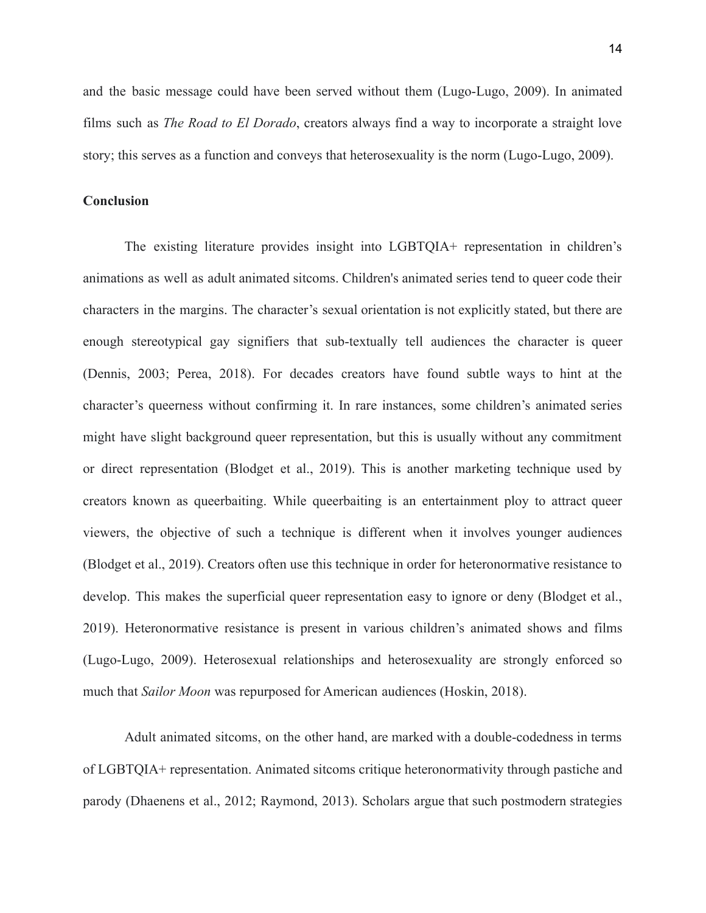and the basic message could have been served without them (Lugo-Lugo, 2009). In animated films such as *The Road to El Dorado*, creators always find a way to incorporate a straight love story; this serves as a function and conveys that heterosexuality is the norm (Lugo-Lugo, 2009).

### **Conclusion**

The existing literature provides insight into LGBTQIA+ representation in children's animations as well as adult animated sitcoms. Children's animated series tend to queer code their characters in the margins. The character's sexual orientation is not explicitly stated, but there are enough stereotypical gay signifiers that sub-textually tell audiences the character is queer (Dennis, 2003; Perea, 2018). For decades creators have found subtle ways to hint at the character's queerness without confirming it. In rare instances, some children's animated series might have slight background queer representation, but this is usually without any commitment or direct representation (Blodget et al., 2019). This is another marketing technique used by creators known as queerbaiting. While queerbaiting is an entertainment ploy to attract queer viewers, the objective of such a technique is different when it involves younger audiences (Blodget et al., 2019). Creators often use this technique in order for heteronormative resistance to develop. This makes the superficial queer representation easy to ignore or deny (Blodget et al., 2019). Heteronormative resistance is present in various children's animated shows and films (Lugo-Lugo, 2009). Heterosexual relationships and heterosexuality are strongly enforced so much that *Sailor Moon* was repurposed for American audiences (Hoskin, 2018).

Adult animated sitcoms, on the other hand, are marked with a double-codedness in terms of LGBTQIA+ representation. Animated sitcoms critique heteronormativity through pastiche and parody (Dhaenens et al., 2012; Raymond, 2013). Scholars argue that such postmodern strategies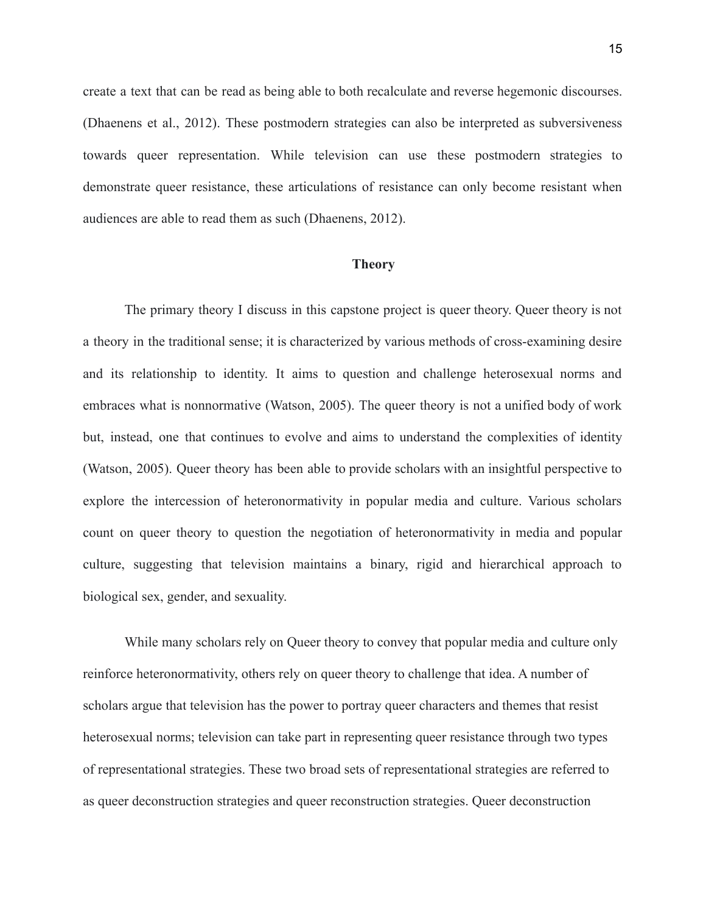create a text that can be read as being able to both recalculate and reverse hegemonic discourses. (Dhaenens et al., 2012). These postmodern strategies can also be interpreted as subversiveness towards queer representation. While television can use these postmodern strategies to demonstrate queer resistance, these articulations of resistance can only become resistant when audiences are able to read them as such (Dhaenens, 2012).

#### **Theory**

<span id="page-15-0"></span>The primary theory I discuss in this capstone project is queer theory. Queer theory is not a theory in the traditional sense; it is characterized by various methods of cross-examining desire and its relationship to identity. It aims to question and challenge heterosexual norms and embraces what is nonnormative (Watson, 2005). The queer theory is not a unified body of work but, instead, one that continues to evolve and aims to understand the complexities of identity (Watson, 2005). Queer theory has been able to provide scholars with an insightful perspective to explore the intercession of heteronormativity in popular media and culture. Various scholars count on queer theory to question the negotiation of heteronormativity in media and popular culture, suggesting that television maintains a binary, rigid and hierarchical approach to biological sex, gender, and sexuality.

While many scholars rely on Queer theory to convey that popular media and culture only reinforce heteronormativity, others rely on queer theory to challenge that idea. A number of scholars argue that television has the power to portray queer characters and themes that resist heterosexual norms; television can take part in representing queer resistance through two types of representational strategies. These two broad sets of representational strategies are referred to as queer deconstruction strategies and queer reconstruction strategies. Queer deconstruction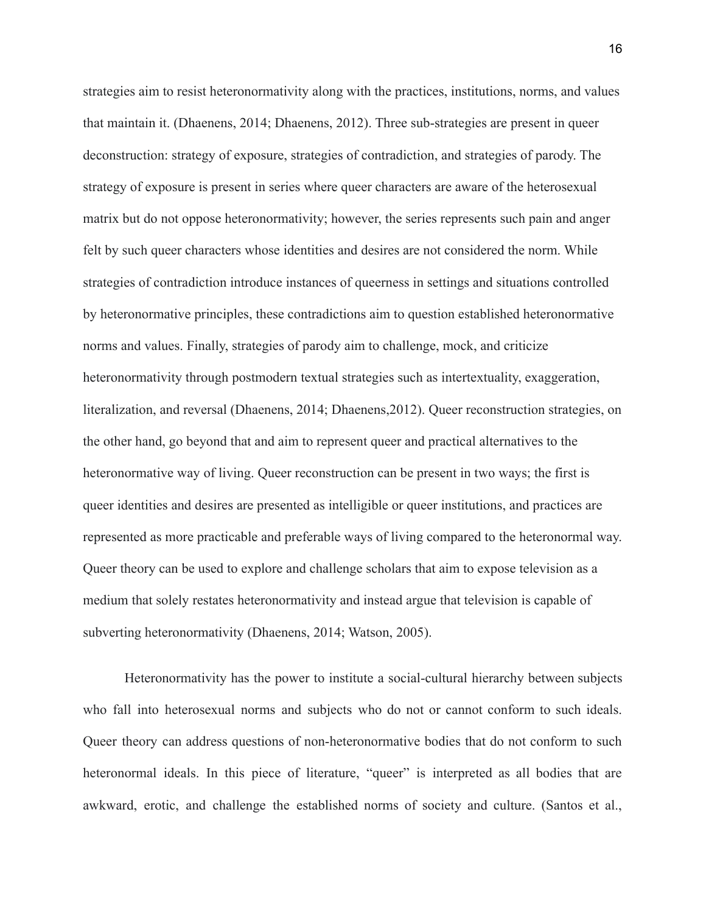strategies aim to resist heteronormativity along with the practices, institutions, norms, and values that maintain it. (Dhaenens, 2014; Dhaenens, 2012). Three sub-strategies are present in queer deconstruction: strategy of exposure, strategies of contradiction, and strategies of parody. The strategy of exposure is present in series where queer characters are aware of the heterosexual matrix but do not oppose heteronormativity; however, the series represents such pain and anger felt by such queer characters whose identities and desires are not considered the norm. While strategies of contradiction introduce instances of queerness in settings and situations controlled by heteronormative principles, these contradictions aim to question established heteronormative norms and values. Finally, strategies of parody aim to challenge, mock, and criticize heteronormativity through postmodern textual strategies such as intertextuality, exaggeration, literalization, and reversal (Dhaenens, 2014; Dhaenens,2012). Queer reconstruction strategies, on the other hand, go beyond that and aim to represent queer and practical alternatives to the heteronormative way of living. Queer reconstruction can be present in two ways; the first is queer identities and desires are presented as intelligible or queer institutions, and practices are represented as more practicable and preferable ways of living compared to the heteronormal way. Queer theory can be used to explore and challenge scholars that aim to expose television as a medium that solely restates heteronormativity and instead argue that television is capable of subverting heteronormativity (Dhaenens, 2014; Watson, 2005).

Heteronormativity has the power to institute a social-cultural hierarchy between subjects who fall into heterosexual norms and subjects who do not or cannot conform to such ideals. Queer theory can address questions of non-heteronormative bodies that do not conform to such heteronormal ideals. In this piece of literature, "queer" is interpreted as all bodies that are awkward, erotic, and challenge the established norms of society and culture. (Santos et al.,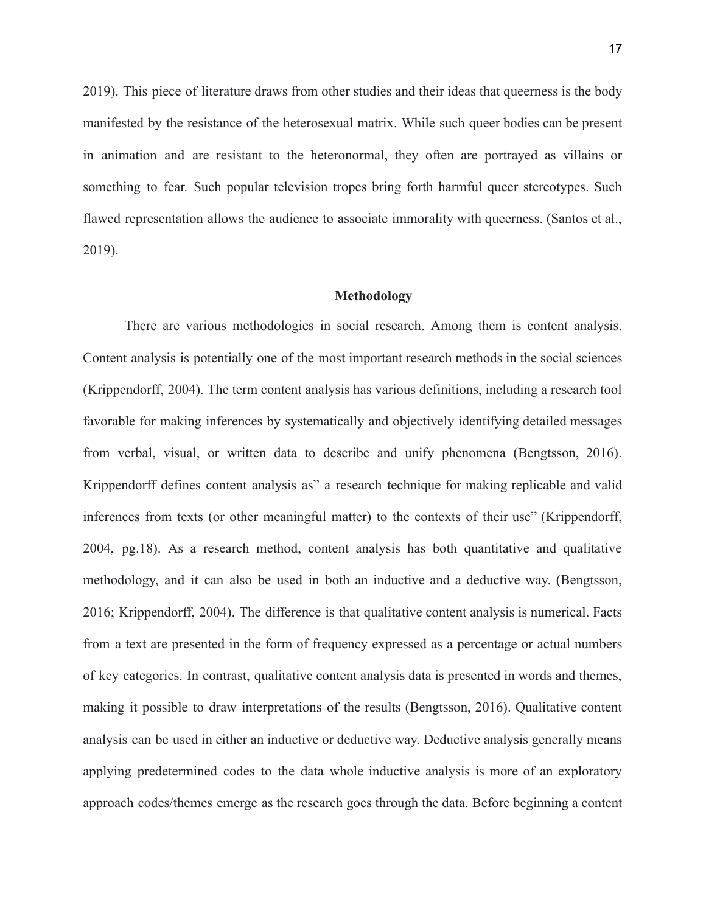2019). This piece of literature draws from other studies and their ideas that queerness is the body manifested by the resistance of the heterosexual matrix. While such queer bodies can be present in animation and are resistant to the heteronormal, they often are portrayed as villains or something to fear. Such popular television tropes bring forth harmful queer stereotypes. Such flawed representation allows the audience to associate immorality with queerness. (Santos et al., 2019).

#### **Methodology**

<span id="page-17-0"></span>There are various methodologies in social research. Among them is content analysis. Content analysis is potentially one of the most important research methods in the social sciences (Krippendorff, 2004). The term content analysis has various definitions, including a research tool favorable for making inferences by systematically and objectively identifying detailed messages from verbal, visual, or written data to describe and unify phenomena (Bengtsson, 2016). Krippendorff defines content analysis as" a research technique for making replicable and valid inferences from texts (or other meaningful matter) to the contexts of their use" (Krippendorff, 2004, pg.18). As a research method, content analysis has both quantitative and qualitative methodology, and it can also be used in both an inductive and a deductive way. (Bengtsson, 2016; Krippendorff, 2004). The difference is that qualitative content analysis is numerical. Facts from a text are presented in the form of frequency expressed as a percentage or actual numbers of key categories. In contrast, qualitative content analysis data is presented in words and themes, making it possible to draw interpretations of the results (Bengtsson, 2016). Qualitative content analysis can be used in either an inductive or deductive way. Deductive analysis generally means applying predetermined codes to the data whole inductive analysis is more of an exploratory approach codes/themes emerge as the research goes through the data. Before beginning a content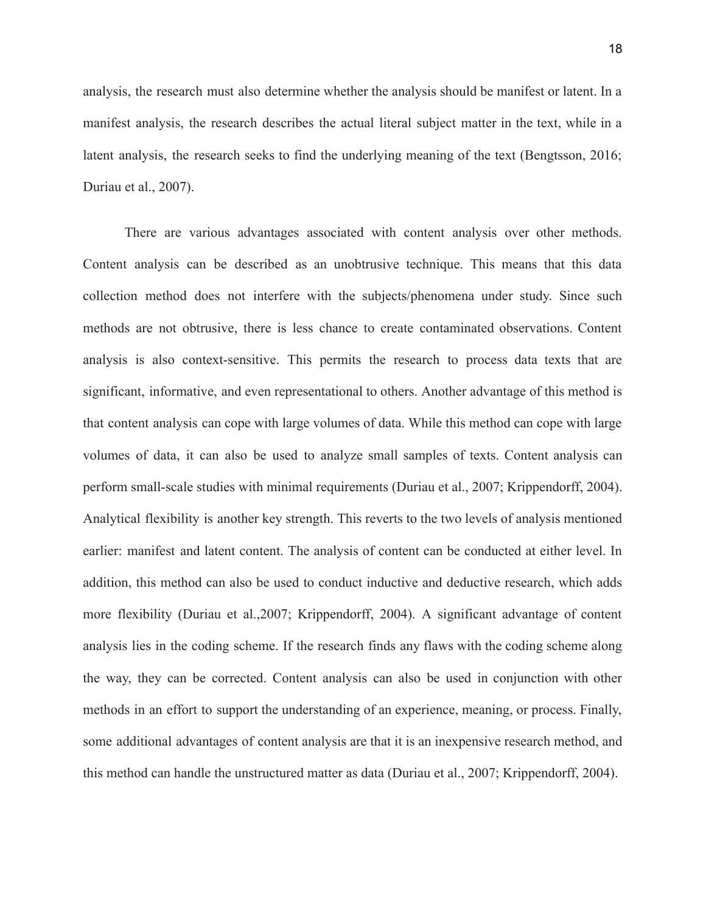analysis, the research must also determine whether the analysis should be manifest or latent. In a manifest analysis, the research describes the actual literal subject matter in the text, while in a latent analysis, the research seeks to find the underlying meaning of the text (Bengtsson, 2016; Duriau et al., 2007).

There are various advantages associated with content analysis over other methods. Content analysis can be described as an unobtrusive technique. This means that this data collection method does not interfere with the subjects/phenomena under study. Since such methods are not obtrusive, there is less chance to create contaminated observations. Content analysis is also context-sensitive. This permits the research to process data texts that are significant, informative, and even representational to others. Another advantage of this method is that content analysis can cope with large volumes of data. While this method can cope with large volumes of data, it can also be used to analyze small samples of texts. Content analysis can perform small-scale studies with minimal requirements (Duriau et al., 2007; Krippendorff, 2004). Analytical flexibility is another key strength. This reverts to the two levels of analysis mentioned earlier: manifest and latent content. The analysis of content can be conducted at either level. In addition, this method can also be used to conduct inductive and deductive research, which adds more flexibility (Duriau et al.,2007; Krippendorff, 2004). A significant advantage of content analysis lies in the coding scheme. If the research finds any flaws with the coding scheme along the way, they can be corrected. Content analysis can also be used in conjunction with other methods in an effort to support the understanding of an experience, meaning, or process. Finally, some additional advantages of content analysis are that it is an inexpensive research method, and this method can handle the unstructured matter as data (Duriau et al., 2007; Krippendorff, 2004).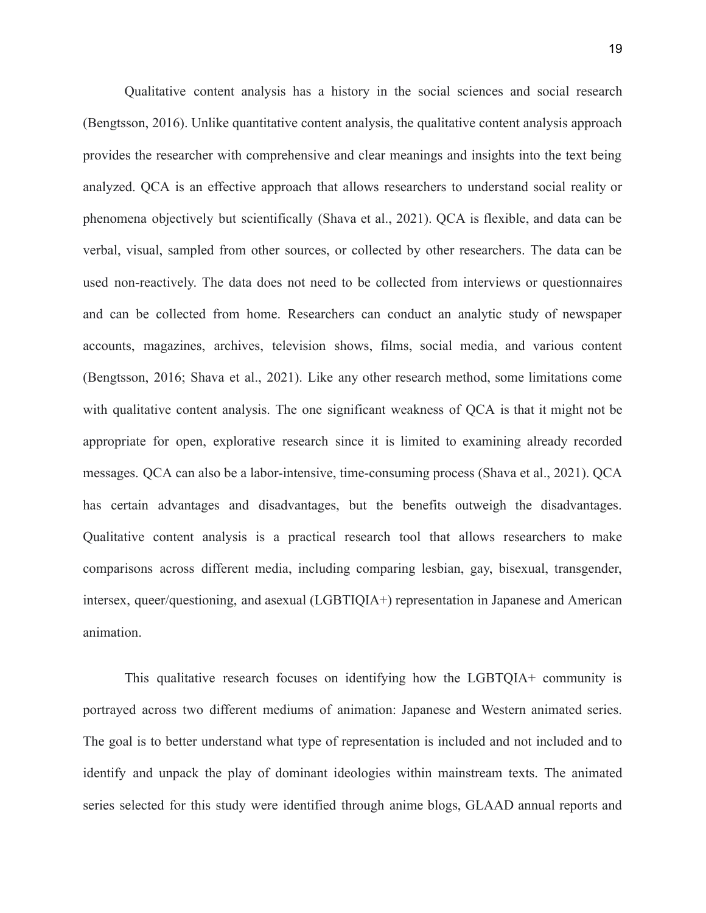Qualitative content analysis has a history in the social sciences and social research (Bengtsson, 2016). Unlike quantitative content analysis, the qualitative content analysis approach provides the researcher with comprehensive and clear meanings and insights into the text being analyzed. QCA is an effective approach that allows researchers to understand social reality or phenomena objectively but scientifically (Shava et al., 2021). QCA is flexible, and data can be verbal, visual, sampled from other sources, or collected by other researchers. The data can be used non-reactively. The data does not need to be collected from interviews or questionnaires and can be collected from home. Researchers can conduct an analytic study of newspaper accounts, magazines, archives, television shows, films, social media, and various content (Bengtsson, 2016; Shava et al., 2021). Like any other research method, some limitations come with qualitative content analysis. The one significant weakness of QCA is that it might not be appropriate for open, explorative research since it is limited to examining already recorded messages. QCA can also be a labor-intensive, time-consuming process (Shava et al., 2021). QCA has certain advantages and disadvantages, but the benefits outweigh the disadvantages. Qualitative content analysis is a practical research tool that allows researchers to make comparisons across different media, including comparing lesbian, gay, bisexual, transgender, intersex, queer/questioning, and asexual (LGBTIQIA+) representation in Japanese and American animation.

This qualitative research focuses on identifying how the LGBTQIA+ community is portrayed across two different mediums of animation: Japanese and Western animated series. The goal is to better understand what type of representation is included and not included and to identify and unpack the play of dominant ideologies within mainstream texts. The animated series selected for this study were identified through anime blogs, GLAAD annual reports and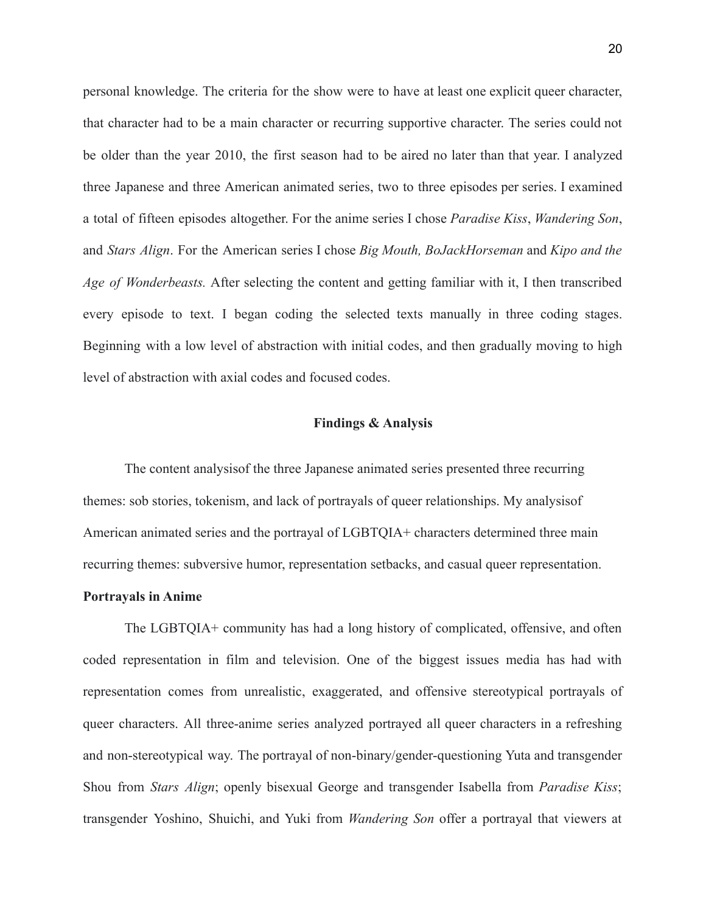personal knowledge. The criteria for the show were to have at least one explicit queer character, that character had to be a main character or recurring supportive character. The series could not be older than the year 2010, the first season had to be aired no later than that year. I analyzed three Japanese and three American animated series, two to three episodes per series. I examined a total of fifteen episodes altogether. For the anime series I chose *Paradise Kiss*, *Wandering Son*, and *Stars Align*. For the American series I chose *Big Mouth, BoJackHorseman* and *Kipo and the Age of Wonderbeasts.* After selecting the content and getting familiar with it, I then transcribed every episode to text. I began coding the selected texts manually in three coding stages. Beginning with a low level of abstraction with initial codes, and then gradually moving to high level of abstraction with axial codes and focused codes.

#### **Findings & Analysis**

<span id="page-20-0"></span>The content analysisof the three Japanese animated series presented three recurring themes: sob stories, tokenism, and lack of portrayals of queer relationships. My analysisof American animated series and the portrayal of LGBTQIA+ characters determined three main recurring themes: subversive humor, representation setbacks, and casual queer representation.

## **Portrayals in Anime**

The LGBTQIA+ community has had a long history of complicated, offensive, and often coded representation in film and television. One of the biggest issues media has had with representation comes from unrealistic, exaggerated, and offensive stereotypical portrayals of queer characters. All three-anime series analyzed portrayed all queer characters in a refreshing and non-stereotypical way. The portrayal of non-binary/gender-questioning Yuta and transgender Shou from *Stars Align*; openly bisexual George and transgender Isabella from *Paradise Kiss*; transgender Yoshino, Shuichi, and Yuki from *Wandering Son* offer a portrayal that viewers at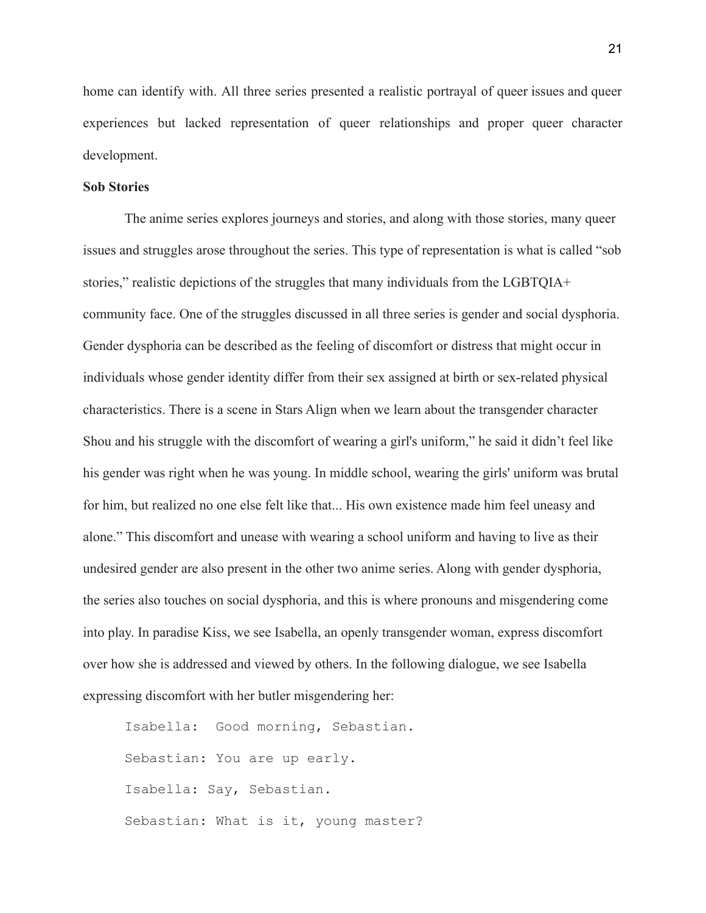home can identify with. All three series presented a realistic portrayal of queer issues and queer experiences but lacked representation of queer relationships and proper queer character development.

### **Sob Stories**

The anime series explores journeys and stories, and along with those stories, many queer issues and struggles arose throughout the series. This type of representation is what is called "sob stories," realistic depictions of the struggles that many individuals from the LGBTQIA+ community face. One of the struggles discussed in all three series is gender and social dysphoria. Gender dysphoria can be described as the feeling of discomfort or distress that might occur in individuals whose gender identity differ from their sex assigned at birth or sex-related physical characteristics. There is a scene in Stars Align when we learn about the transgender character Shou and his struggle with the discomfort of wearing a girl's uniform," he said it didn't feel like his gender was right when he was young. In middle school, wearing the girls' uniform was brutal for him, but realized no one else felt like that... His own existence made him feel uneasy and alone." This discomfort and unease with wearing a school uniform and having to live as their undesired gender are also present in the other two anime series. Along with gender dysphoria, the series also touches on social dysphoria, and this is where pronouns and misgendering come into play. In paradise Kiss, we see Isabella, an openly transgender woman, express discomfort over how she is addressed and viewed by others. In the following dialogue, we see Isabella expressing discomfort with her butler misgendering her:

```
Isabella: Good morning, Sebastian.
Sebastian: You are up early.
Isabella: Say, Sebastian.
Sebastian: What is it, young master?
```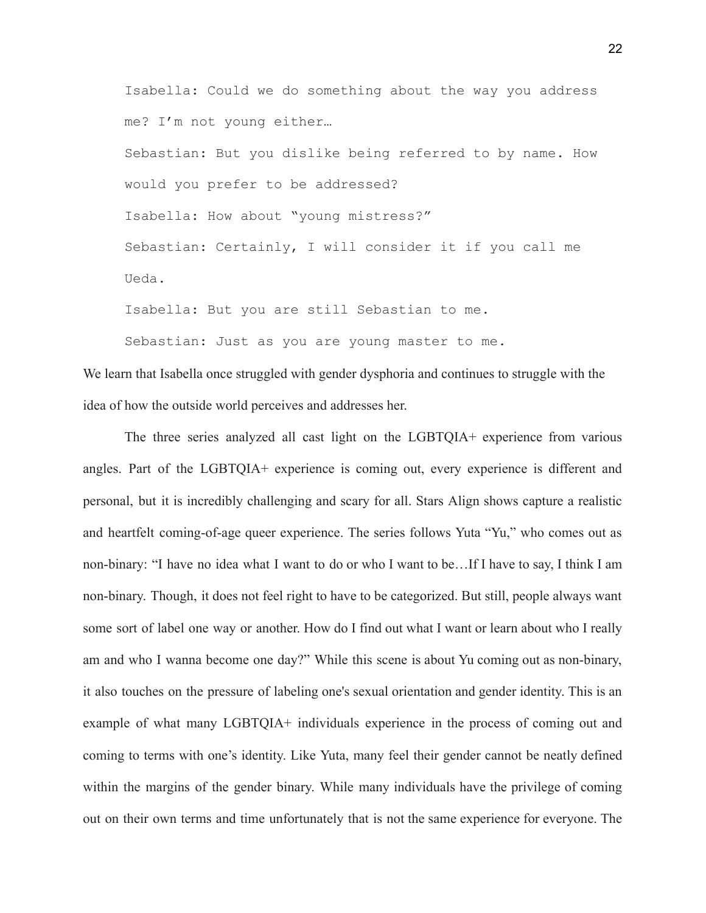Isabella: Could we do something about the way you address me? I'm not young either…

Sebastian: But you dislike being referred to by name. How would you prefer to be addressed? Isabella: How about "young mistress?" Sebastian: Certainly, I will consider it if you call me Ueda.

Isabella: But you are still Sebastian to me.

Sebastian: Just as you are young master to me.

We learn that Isabella once struggled with gender dysphoria and continues to struggle with the idea of how the outside world perceives and addresses her.

The three series analyzed all cast light on the LGBTQIA+ experience from various angles. Part of the LGBTQIA+ experience is coming out, every experience is different and personal, but it is incredibly challenging and scary for all. Stars Align shows capture a realistic and heartfelt coming-of-age queer experience. The series follows Yuta "Yu," who comes out as non-binary: "I have no idea what I want to do or who I want to be…If I have to say, I think I am non-binary. Though, it does not feel right to have to be categorized. But still, people always want some sort of label one way or another. How do I find out what I want or learn about who I really am and who I wanna become one day?" While this scene is about Yu coming out as non-binary, it also touches on the pressure of labeling one's sexual orientation and gender identity. This is an example of what many LGBTQIA+ individuals experience in the process of coming out and coming to terms with one's identity. Like Yuta, many feel their gender cannot be neatly defined within the margins of the gender binary. While many individuals have the privilege of coming out on their own terms and time unfortunately that is not the same experience for everyone. The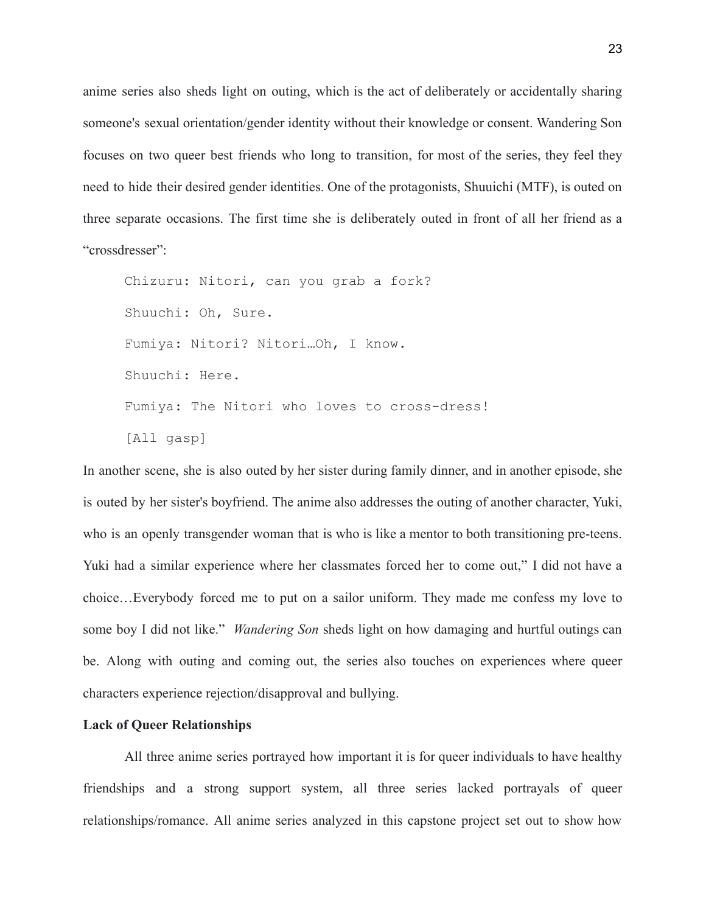anime series also sheds light on outing, which is the act of deliberately or accidentally sharing someone's sexual orientation/gender identity without their knowledge or consent. Wandering Son focuses on two queer best friends who long to transition, for most of the series, they feel they need to hide their desired gender identities. One of the protagonists, Shuuichi (MTF), is outed on three separate occasions. The first time she is deliberately outed in front of all her friend as a "crossdresser":

Chizuru: Nitori, can you grab a fork? Shuuchi: Oh, Sure. Fumiya: Nitori? Nitori…Oh, I know. Shuuchi: Here. Fumiya: The Nitori who loves to cross-dress! [All gasp]

In another scene, she is also outed by her sister during family dinner, and in another episode, she is outed by her sister's boyfriend. The anime also addresses the outing of another character, Yuki, who is an openly transgender woman that is who is like a mentor to both transitioning pre-teens. Yuki had a similar experience where her classmates forced her to come out," I did not have a choice…Everybody forced me to put on a sailor uniform. They made me confess my love to some boy I did not like." *Wandering Son* sheds light on how damaging and hurtful outings can be. Along with outing and coming out, the series also touches on experiences where queer characters experience rejection/disapproval and bullying.

## **Lack of Queer Relationships**

All three anime series portrayed how important it is for queer individuals to have healthy friendships and a strong support system, all three series lacked portrayals of queer relationships/romance. All anime series analyzed in this capstone project set out to show how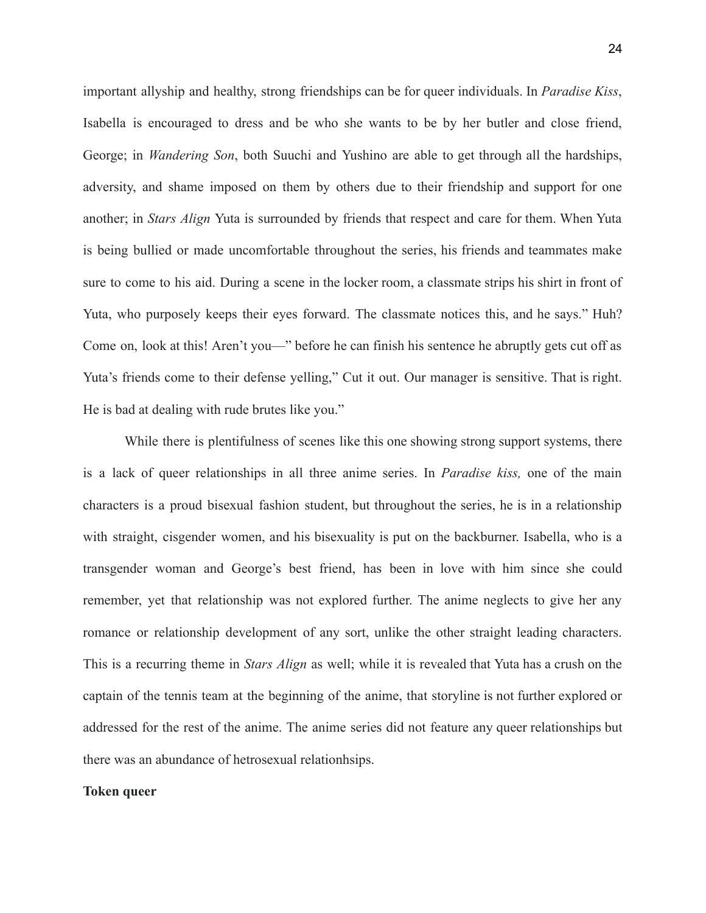important allyship and healthy, strong friendships can be for queer individuals. In *Paradise Kiss*, Isabella is encouraged to dress and be who she wants to be by her butler and close friend, George; in *Wandering Son*, both Suuchi and Yushino are able to get through all the hardships, adversity, and shame imposed on them by others due to their friendship and support for one another; in *Stars Align* Yuta is surrounded by friends that respect and care for them. When Yuta is being bullied or made uncomfortable throughout the series, his friends and teammates make sure to come to his aid. During a scene in the locker room, a classmate strips his shirt in front of Yuta, who purposely keeps their eyes forward. The classmate notices this, and he says." Huh? Come on, look at this! Aren't you—" before he can finish his sentence he abruptly gets cut off as Yuta's friends come to their defense yelling," Cut it out. Our manager is sensitive. That is right. He is bad at dealing with rude brutes like you."

While there is plentifulness of scenes like this one showing strong support systems, there is a lack of queer relationships in all three anime series. In *Paradise kiss,* one of the main characters is a proud bisexual fashion student, but throughout the series, he is in a relationship with straight, cisgender women, and his bisexuality is put on the backburner. Isabella, who is a transgender woman and George's best friend, has been in love with him since she could remember, yet that relationship was not explored further. The anime neglects to give her any romance or relationship development of any sort, unlike the other straight leading characters. This is a recurring theme in *Stars Align* as well; while it is revealed that Yuta has a crush on the captain of the tennis team at the beginning of the anime, that storyline is not further explored or addressed for the rest of the anime. The anime series did not feature any queer relationships but there was an abundance of hetrosexual relationhsips.

#### **Token queer**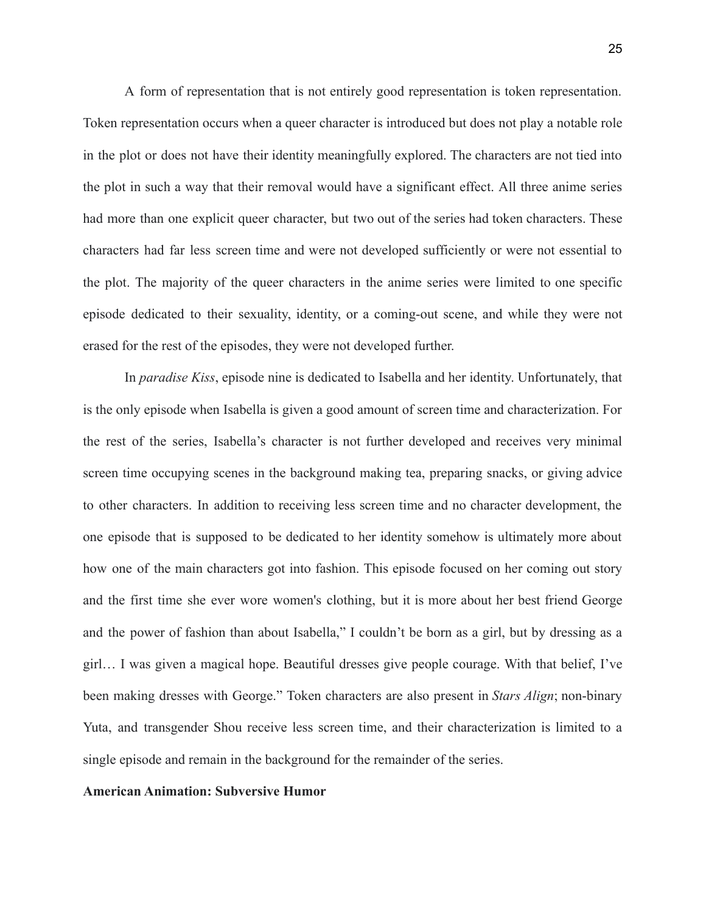A form of representation that is not entirely good representation is token representation. Token representation occurs when a queer character is introduced but does not play a notable role in the plot or does not have their identity meaningfully explored. The characters are not tied into the plot in such a way that their removal would have a significant effect. All three anime series had more than one explicit queer character, but two out of the series had token characters. These characters had far less screen time and were not developed sufficiently or were not essential to the plot. The majority of the queer characters in the anime series were limited to one specific episode dedicated to their sexuality, identity, or a coming-out scene, and while they were not erased for the rest of the episodes, they were not developed further.

In *paradise Kiss*, episode nine is dedicated to Isabella and her identity. Unfortunately, that is the only episode when Isabella is given a good amount of screen time and characterization. For the rest of the series, Isabella's character is not further developed and receives very minimal screen time occupying scenes in the background making tea, preparing snacks, or giving advice to other characters. In addition to receiving less screen time and no character development, the one episode that is supposed to be dedicated to her identity somehow is ultimately more about how one of the main characters got into fashion. This episode focused on her coming out story and the first time she ever wore women's clothing, but it is more about her best friend George and the power of fashion than about Isabella," I couldn't be born as a girl, but by dressing as a girl… I was given a magical hope. Beautiful dresses give people courage. With that belief, I've been making dresses with George." Token characters are also present in *Stars Align*; non-binary Yuta, and transgender Shou receive less screen time, and their characterization is limited to a single episode and remain in the background for the remainder of the series.

#### **American Animation: Subversive Humor**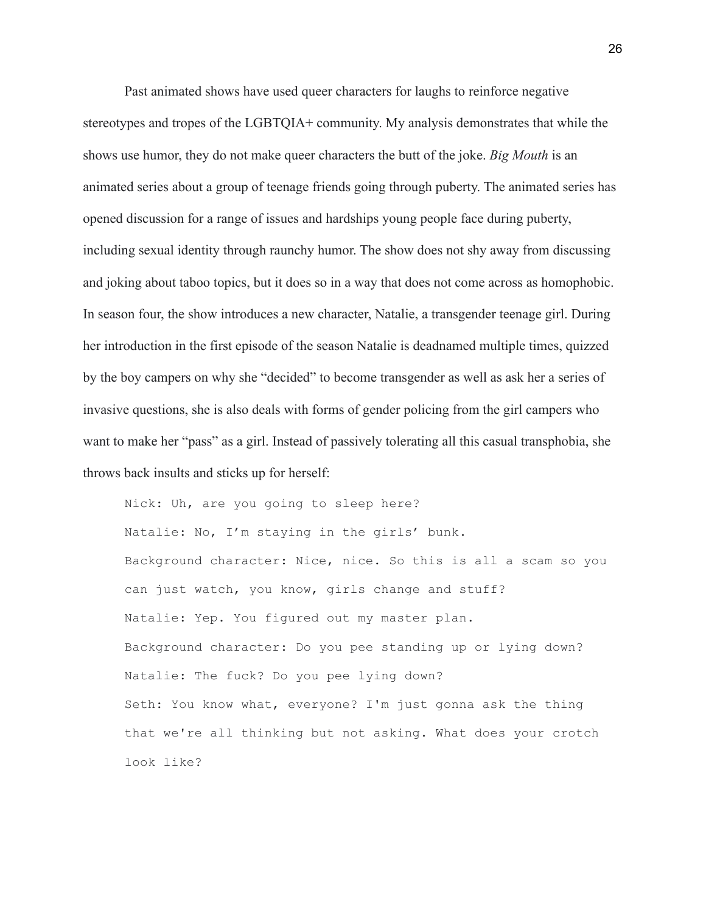Past animated shows have used queer characters for laughs to reinforce negative stereotypes and tropes of the LGBTQIA+ community. My analysis demonstrates that while the shows use humor, they do not make queer characters the butt of the joke. *Big Mouth* is an animated series about a group of teenage friends going through puberty. The animated series has opened discussion for a range of issues and hardships young people face during puberty, including sexual identity through raunchy humor. The show does not shy away from discussing and joking about taboo topics, but it does so in a way that does not come across as homophobic. In season four, the show introduces a new character, Natalie, a transgender teenage girl. During her introduction in the first episode of the season Natalie is deadnamed multiple times, quizzed by the boy campers on why she "decided" to become transgender as well as ask her a series of invasive questions, she is also deals with forms of gender policing from the girl campers who want to make her "pass" as a girl. Instead of passively tolerating all this casual transphobia, she throws back insults and sticks up for herself:

Nick: Uh, are you going to sleep here? Natalie: No, I'm staying in the girls' bunk. Background character: Nice, nice. So this is all a scam so you can just watch, you know, girls change and stuff? Natalie: Yep. You figured out my master plan. Background character: Do you pee standing up or lying down? Natalie: The fuck? Do you pee lying down? Seth: You know what, everyone? I'm just gonna ask the thing that we're all thinking but not asking. What does your crotch look like?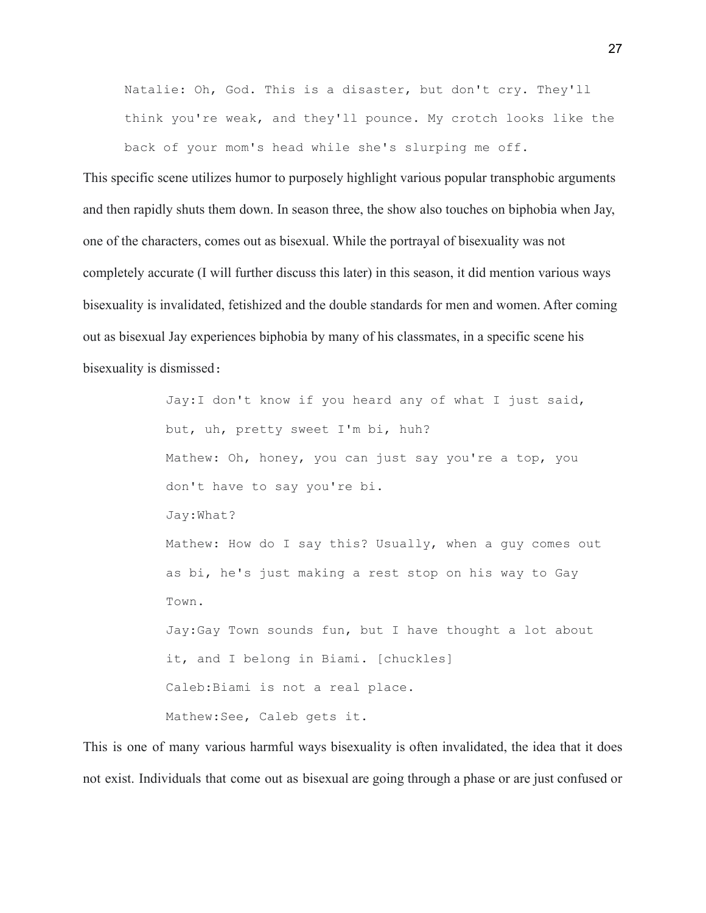Natalie: Oh, God. This is a disaster, but don't cry. They'll think you're weak, and they'll pounce. My crotch looks like the back of your mom's head while she's slurping me off.

This specific scene utilizes humor to purposely highlight various popular transphobic arguments and then rapidly shuts them down. In season three, the show also touches on biphobia when Jay, one of the characters, comes out as bisexual. While the portrayal of bisexuality was not completely accurate (I will further discuss this later) in this season, it did mention various ways bisexuality is invalidated, fetishized and the double standards for men and women. After coming out as bisexual Jay experiences biphobia by many of his classmates, in a specific scene his bisexuality is dismissed:

> Jay:I don't know if you heard any of what I just said, but, uh, pretty sweet I'm bi, huh? Mathew: Oh, honey, you can just say you're a top, you don't have to say you're bi. Jay:What? Mathew: How do I say this? Usually, when a guy comes out as bi, he's just making a rest stop on his way to Gay Town. Jay:Gay Town sounds fun, but I have thought a lot about it, and I belong in Biami. [chuckles] Caleb:Biami is not a real place. Mathew:See, Caleb gets it.

This is one of many various harmful ways bisexuality is often invalidated, the idea that it does not exist. Individuals that come out as bisexual are going through a phase or are just confused or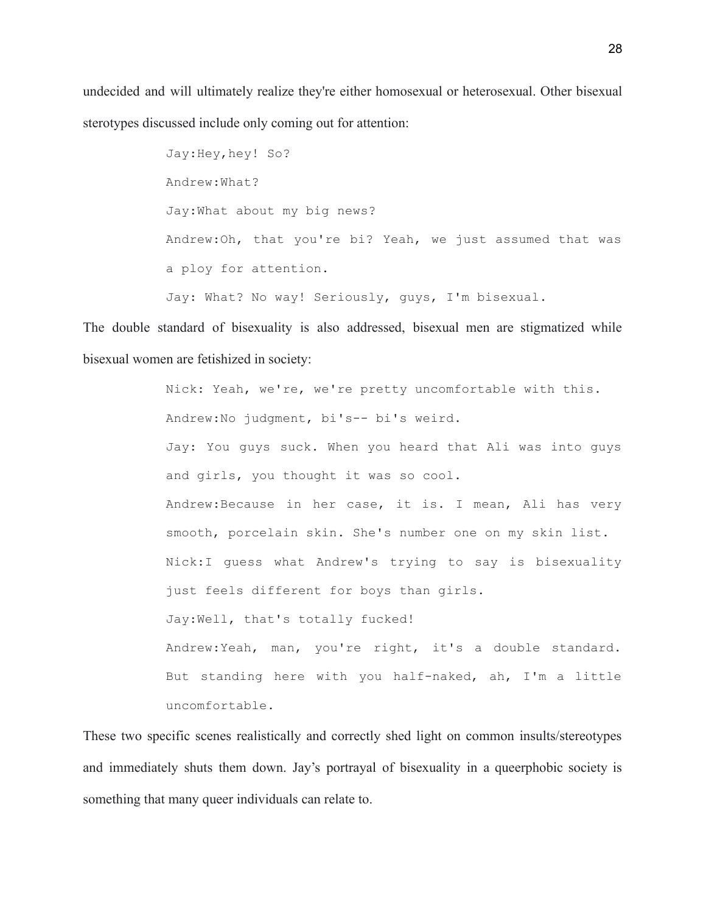undecided and will ultimately realize they're either homosexual or heterosexual. Other bisexual sterotypes discussed include only coming out for attention:

> Jay:Hey,hey! So? Andrew:What? Jay:What about my big news? Andrew:Oh, that you're bi? Yeah, we just assumed that was a ploy for attention. Jay: What? No way! Seriously, guys, I'm bisexual.

The double standard of bisexuality is also addressed, bisexual men are stigmatized while bisexual women are fetishized in society:

> Nick: Yeah, we're, we're pretty uncomfortable with this. Andrew:No judgment, bi's-- bi's weird. Jay: You guys suck. When you heard that Ali was into guys and girls, you thought it was so cool. Andrew:Because in her case, it is. I mean, Ali has very smooth, porcelain skin. She's number one on my skin list. Nick:I guess what Andrew's trying to say is bisexuality just feels different for boys than girls. Jay:Well, that's totally fucked! Andrew:Yeah, man, you're right, it's a double standard. But standing here with you half-naked, ah, I'm a little uncomfortable.

These two specific scenes realistically and correctly shed light on common insults/stereotypes and immediately shuts them down. Jay's portrayal of bisexuality in a queerphobic society is something that many queer individuals can relate to.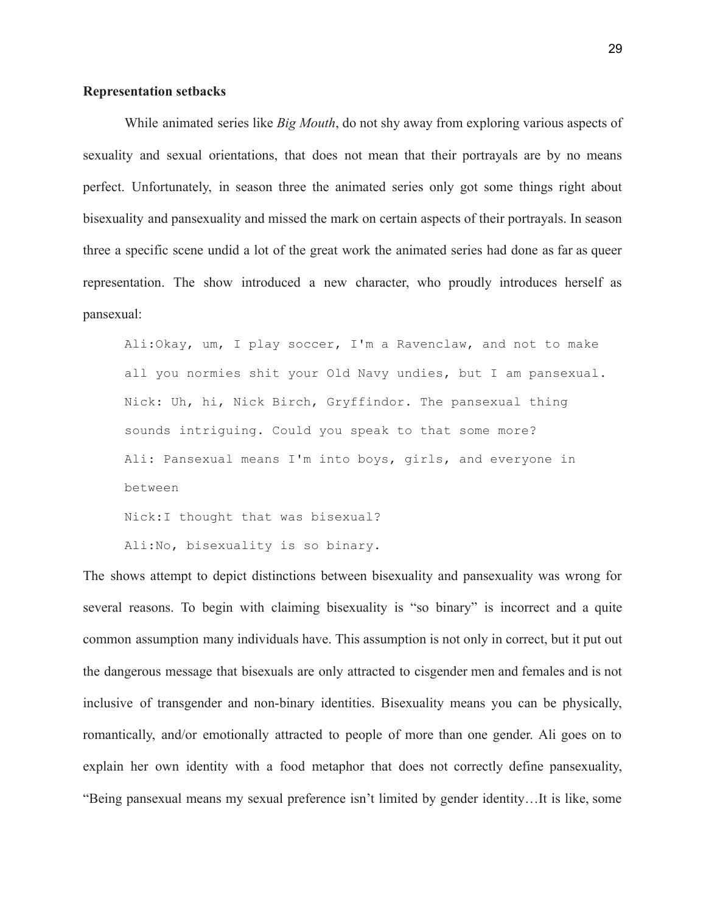## **Representation setbacks**

While animated series like *Big Mouth*, do not shy away from exploring various aspects of sexuality and sexual orientations, that does not mean that their portrayals are by no means perfect. Unfortunately, in season three the animated series only got some things right about bisexuality and pansexuality and missed the mark on certain aspects of their portrayals. In season three a specific scene undid a lot of the great work the animated series had done as far as queer representation. The show introduced a new character, who proudly introduces herself as pansexual:

Ali:Okay, um, I play soccer, I'm a Ravenclaw, and not to make all you normies shit your Old Navy undies, but I am pansexual. Nick: Uh, hi, Nick Birch, Gryffindor. The pansexual thing sounds intriguing. Could you speak to that some more? Ali: Pansexual means I'm into boys, girls, and everyone in between Nick:I thought that was bisexual?

Ali:No, bisexuality is so binary.

The shows attempt to depict distinctions between bisexuality and pansexuality was wrong for several reasons. To begin with claiming bisexuality is "so binary" is incorrect and a quite common assumption many individuals have. This assumption is not only in correct, but it put out the dangerous message that bisexuals are only attracted to cisgender men and females and is not inclusive of transgender and non-binary identities. Bisexuality means you can be physically, romantically, and/or emotionally attracted to people of more than one gender. Ali goes on to explain her own identity with a food metaphor that does not correctly define pansexuality, "Being pansexual means my sexual preference isn't limited by gender identity…It is like, some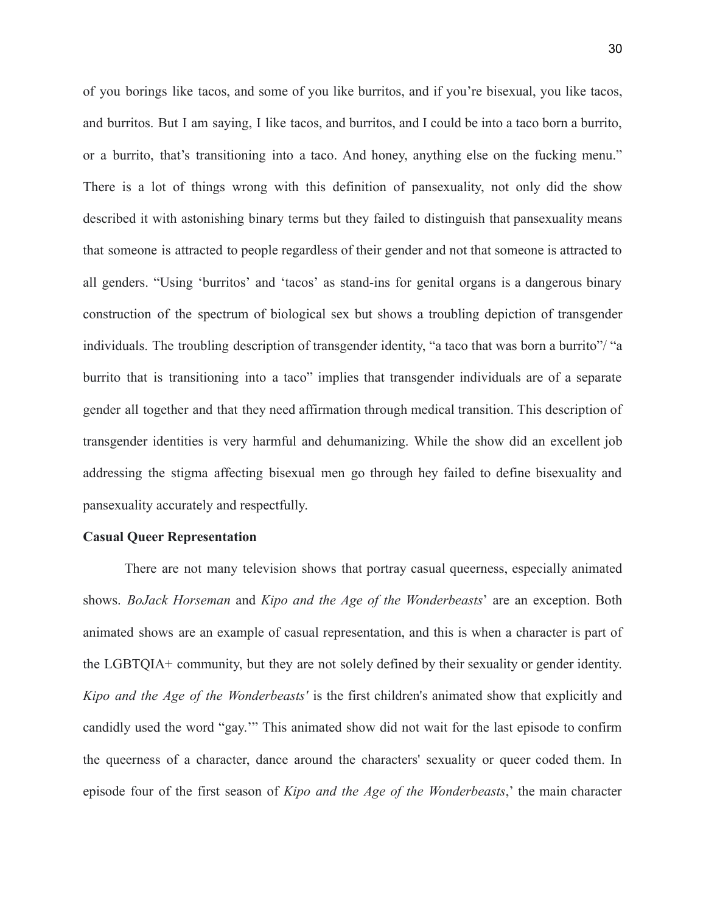of you borings like tacos, and some of you like burritos, and if you're bisexual, you like tacos, and burritos. But I am saying, I like tacos, and burritos, and I could be into a taco born a burrito, or a burrito, that's transitioning into a taco. And honey, anything else on the fucking menu." There is a lot of things wrong with this definition of pansexuality, not only did the show described it with astonishing binary terms but they failed to distinguish that pansexuality means that someone is attracted to people regardless of their gender and not that someone is attracted to all genders. "Using 'burritos' and 'tacos' as stand-ins for genital organs is a dangerous binary construction of the spectrum of biological sex but shows a troubling depiction of transgender individuals. The troubling description of transgender identity, "a taco that was born a burrito"/ "a burrito that is transitioning into a taco" implies that transgender individuals are of a separate gender all together and that they need affirmation through medical transition. This description of transgender identities is very harmful and dehumanizing. While the show did an excellent job addressing the stigma affecting bisexual men go through hey failed to define bisexuality and pansexuality accurately and respectfully.

#### **Casual Queer Representation**

There are not many television shows that portray casual queerness, especially animated shows. *BoJack Horseman* and *Kipo and the Age of the Wonderbeasts*' are an exception. Both animated shows are an example of casual representation, and this is when a character is part of the LGBTQIA+ community, but they are not solely defined by their sexuality or gender identity. *Kipo and the Age of the Wonderbeasts'* is the first children's animated show that explicitly and candidly used the word "gay.'" This animated show did not wait for the last episode to confirm the queerness of a character, dance around the characters' sexuality or queer coded them. In episode four of the first season of *Kipo and the Age of the Wonderbeasts*,' the main character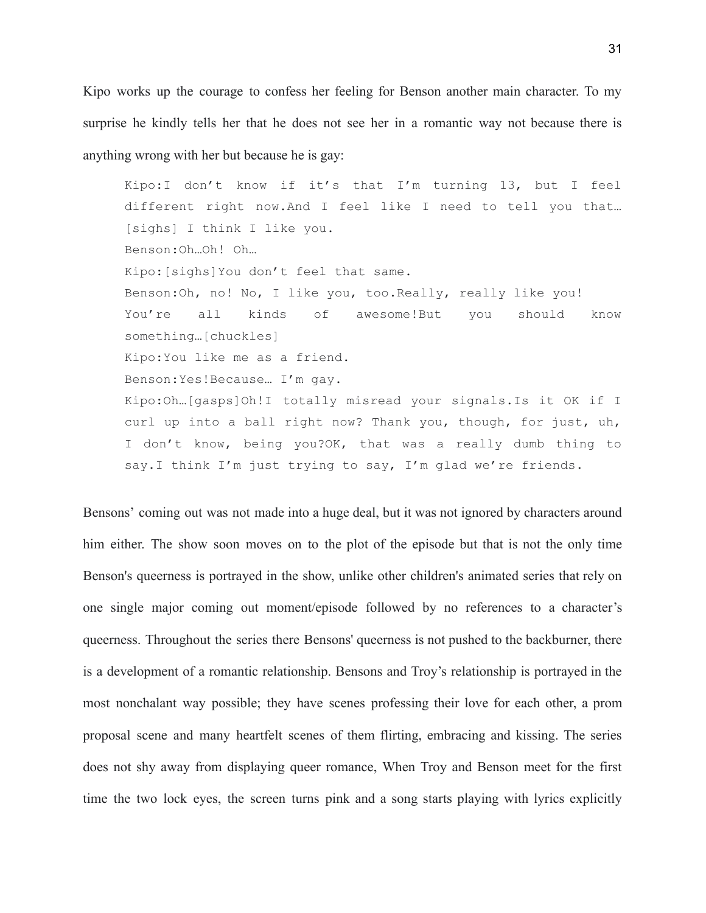Kipo works up the courage to confess her feeling for Benson another main character. To my surprise he kindly tells her that he does not see her in a romantic way not because there is anything wrong with her but because he is gay:

Kipo:I don't know if it's that I'm turning 13, but I feel different right now.And I feel like I need to tell you that… [sighs] I think I like you. Benson:Oh…Oh! Oh… Kipo:[sighs]You don't feel that same. Benson:Oh, no! No, I like you, too.Really, really like you! You're all kinds of awesome!But you should know something…[chuckles] Kipo:You like me as a friend. Benson:Yes!Because… I'm gay. Kipo:Oh…[gasps]Oh!I totally misread your signals.Is it OK if I curl up into a ball right now? Thank you, though, for just, uh, I don't know, being you?OK, that was a really dumb thing to say.I think I'm just trying to say, I'm glad we're friends.

Bensons' coming out was not made into a huge deal, but it was not ignored by characters around him either. The show soon moves on to the plot of the episode but that is not the only time Benson's queerness is portrayed in the show, unlike other children's animated series that rely on one single major coming out moment/episode followed by no references to a character's queerness. Throughout the series there Bensons' queerness is not pushed to the backburner, there is a development of a romantic relationship. Bensons and Troy's relationship is portrayed in the most nonchalant way possible; they have scenes professing their love for each other, a prom proposal scene and many heartfelt scenes of them flirting, embracing and kissing. The series does not shy away from displaying queer romance, When Troy and Benson meet for the first time the two lock eyes, the screen turns pink and a song starts playing with lyrics explicitly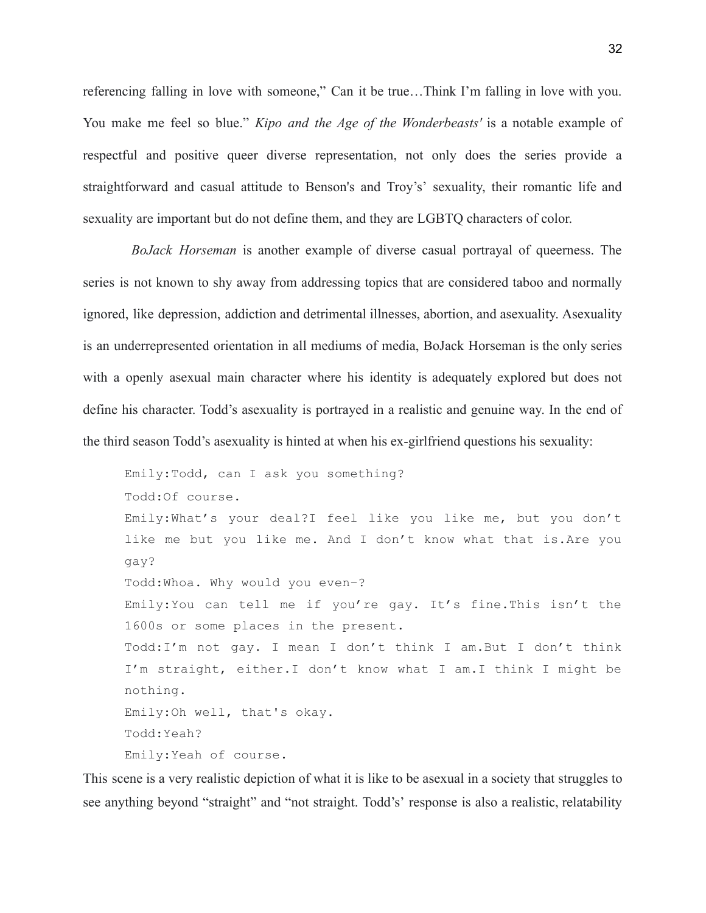referencing falling in love with someone," Can it be true…Think I'm falling in love with you. You make me feel so blue." *Kipo and the Age of the Wonderbeasts'* is a notable example of respectful and positive queer diverse representation, not only does the series provide a straightforward and casual attitude to Benson's and Troy's' sexuality, their romantic life and sexuality are important but do not define them, and they are LGBTQ characters of color.

*BoJack Horseman* is another example of diverse casual portrayal of queerness. The series is not known to shy away from addressing topics that are considered taboo and normally ignored, like depression, addiction and detrimental illnesses, abortion, and asexuality. Asexuality is an underrepresented orientation in all mediums of media, BoJack Horseman is the only series with a openly asexual main character where his identity is adequately explored but does not define his character. Todd's asexuality is portrayed in a realistic and genuine way. In the end of the third season Todd's asexuality is hinted at when his ex-girlfriend questions his sexuality:

Emily:Todd, can I ask you something? Todd:Of course. Emily:What's your deal?I feel like you like me, but you don't like me but you like me. And I don't know what that is.Are you gay? Todd:Whoa. Why would you even–? Emily:You can tell me if you're gay. It's fine.This isn't the 1600s or some places in the present. Todd:I'm not gay. I mean I don't think I am.But I don't think I'm straight, either.I don't know what I am.I think I might be nothing. Emily:Oh well, that's okay. Todd:Yeah? Emily:Yeah of course.

This scene is a very realistic depiction of what it is like to be asexual in a society that struggles to see anything beyond "straight" and "not straight. Todd's' response is also a realistic, relatability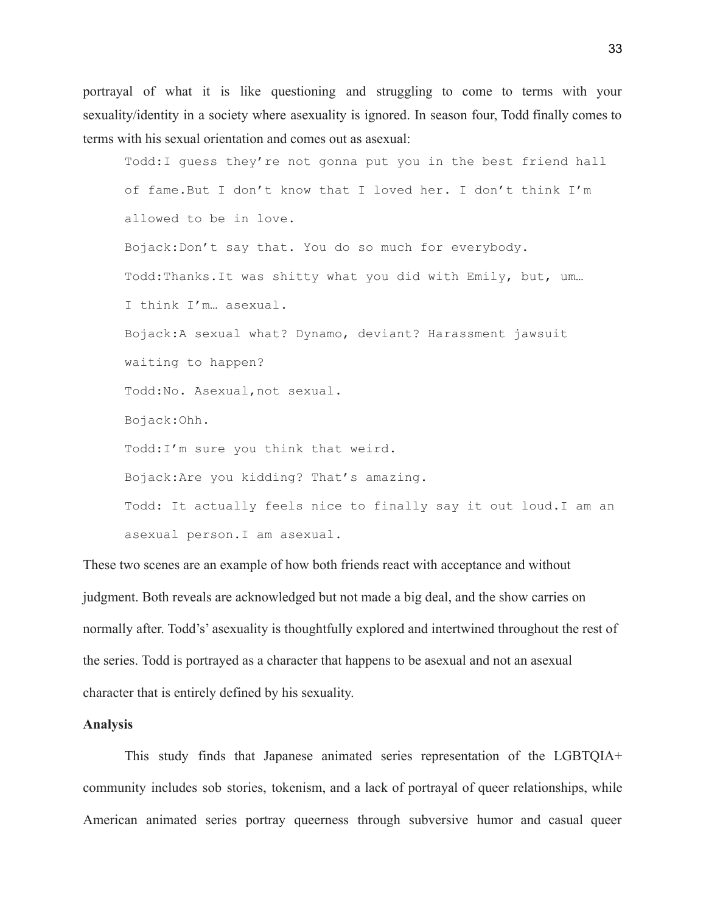portrayal of what it is like questioning and struggling to come to terms with your sexuality/identity in a society where asexuality is ignored. In season four, Todd finally comes to terms with his sexual orientation and comes out as asexual:

Todd:I guess they're not gonna put you in the best friend hall of fame.But I don't know that I loved her. I don't think I'm allowed to be in love. Bojack:Don't say that. You do so much for everybody. Todd:Thanks.It was shitty what you did with Emily, but, um… I think I'm… asexual. Bojack:A sexual what? Dynamo, deviant? Harassment jawsuit waiting to happen? Todd:No. Asexual,not sexual. Bojack:Ohh. Todd:I'm sure you think that weird. Bojack:Are you kidding? That's amazing. Todd: It actually feels nice to finally say it out loud.I am an asexual person.I am asexual.

These two scenes are an example of how both friends react with acceptance and without judgment. Both reveals are acknowledged but not made a big deal, and the show carries on normally after. Todd's' asexuality is thoughtfully explored and intertwined throughout the rest of the series. Todd is portrayed as a character that happens to be asexual and not an asexual character that is entirely defined by his sexuality.

#### **Analysis**

This study finds that Japanese animated series representation of the LGBTQIA+ community includes sob stories, tokenism, and a lack of portrayal of queer relationships, while American animated series portray queerness through subversive humor and casual queer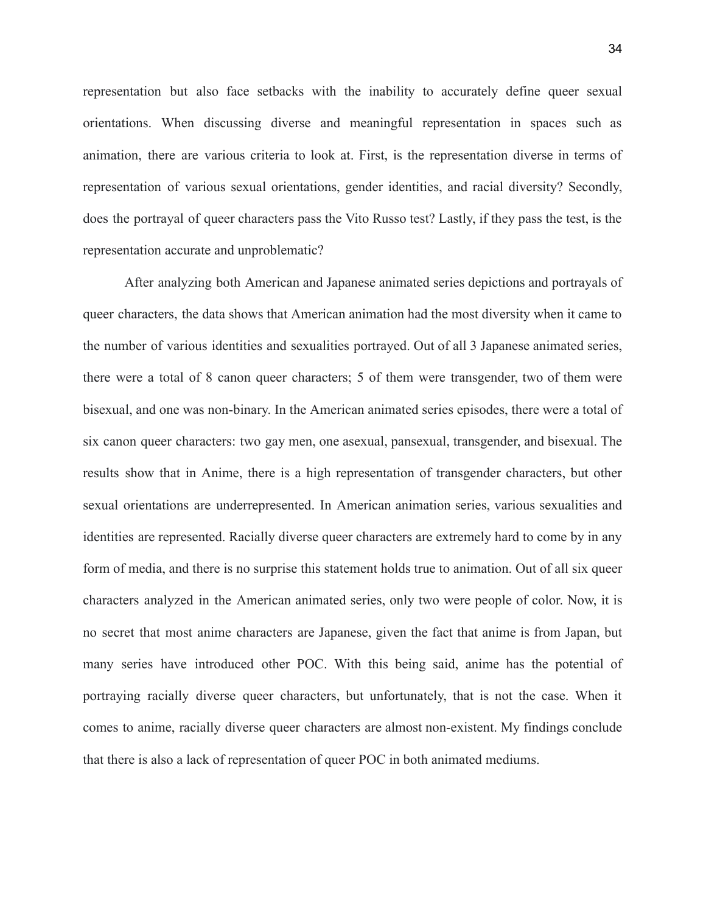representation but also face setbacks with the inability to accurately define queer sexual orientations. When discussing diverse and meaningful representation in spaces such as animation, there are various criteria to look at. First, is the representation diverse in terms of representation of various sexual orientations, gender identities, and racial diversity? Secondly, does the portrayal of queer characters pass the Vito Russo test? Lastly, if they pass the test, is the representation accurate and unproblematic?

After analyzing both American and Japanese animated series depictions and portrayals of queer characters, the data shows that American animation had the most diversity when it came to the number of various identities and sexualities portrayed. Out of all 3 Japanese animated series, there were a total of 8 canon queer characters; 5 of them were transgender, two of them were bisexual, and one was non-binary. In the American animated series episodes, there were a total of six canon queer characters: two gay men, one asexual, pansexual, transgender, and bisexual. The results show that in Anime, there is a high representation of transgender characters, but other sexual orientations are underrepresented. In American animation series, various sexualities and identities are represented. Racially diverse queer characters are extremely hard to come by in any form of media, and there is no surprise this statement holds true to animation. Out of all six queer characters analyzed in the American animated series, only two were people of color. Now, it is no secret that most anime characters are Japanese, given the fact that anime is from Japan, but many series have introduced other POC. With this being said, anime has the potential of portraying racially diverse queer characters, but unfortunately, that is not the case. When it comes to anime, racially diverse queer characters are almost non-existent. My findings conclude that there is also a lack of representation of queer POC in both animated mediums.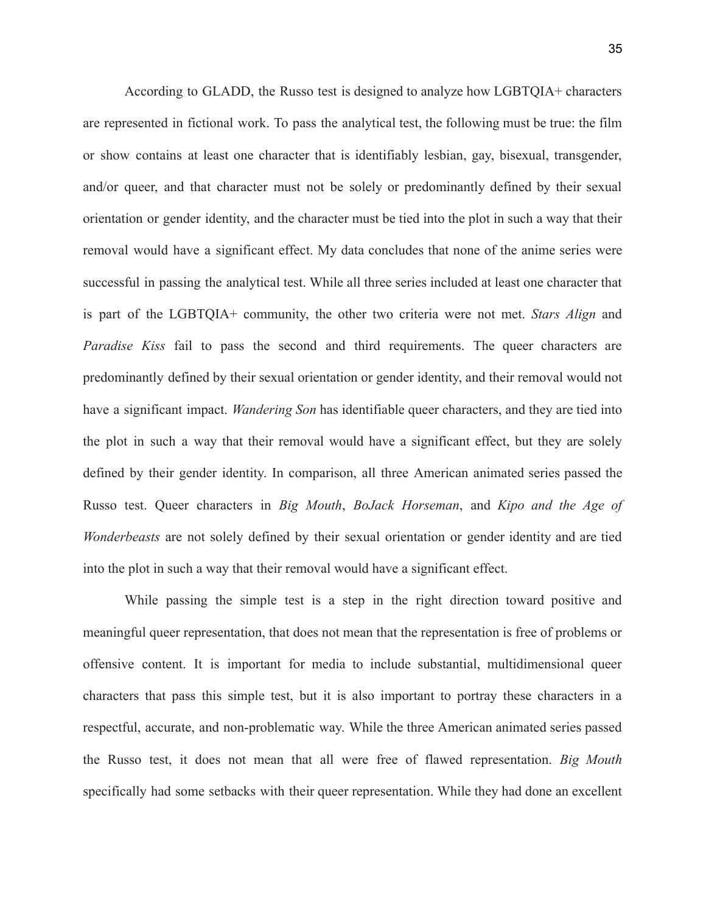According to GLADD, the Russo test is designed to analyze how LGBTQIA+ characters are represented in fictional work. To pass the analytical test, the following must be true: the film or show contains at least one character that is identifiably lesbian, gay, bisexual, transgender, and/or queer, and that character must not be solely or predominantly defined by their sexual orientation or gender identity, and the character must be tied into the plot in such a way that their removal would have a significant effect. My data concludes that none of the anime series were successful in passing the analytical test. While all three series included at least one character that is part of the LGBTQIA+ community, the other two criteria were not met. *Stars Align* and *Paradise Kiss* fail to pass the second and third requirements. The queer characters are predominantly defined by their sexual orientation or gender identity, and their removal would not have a significant impact. *Wandering Son* has identifiable queer characters, and they are tied into the plot in such a way that their removal would have a significant effect, but they are solely defined by their gender identity. In comparison, all three American animated series passed the Russo test. Queer characters in *Big Mouth*, *BoJack Horseman*, and *Kipo and the Age of Wonderbeasts* are not solely defined by their sexual orientation or gender identity and are tied into the plot in such a way that their removal would have a significant effect.

While passing the simple test is a step in the right direction toward positive and meaningful queer representation, that does not mean that the representation is free of problems or offensive content. It is important for media to include substantial, multidimensional queer characters that pass this simple test, but it is also important to portray these characters in a respectful, accurate, and non-problematic way. While the three American animated series passed the Russo test, it does not mean that all were free of flawed representation. *Big Mouth* specifically had some setbacks with their queer representation. While they had done an excellent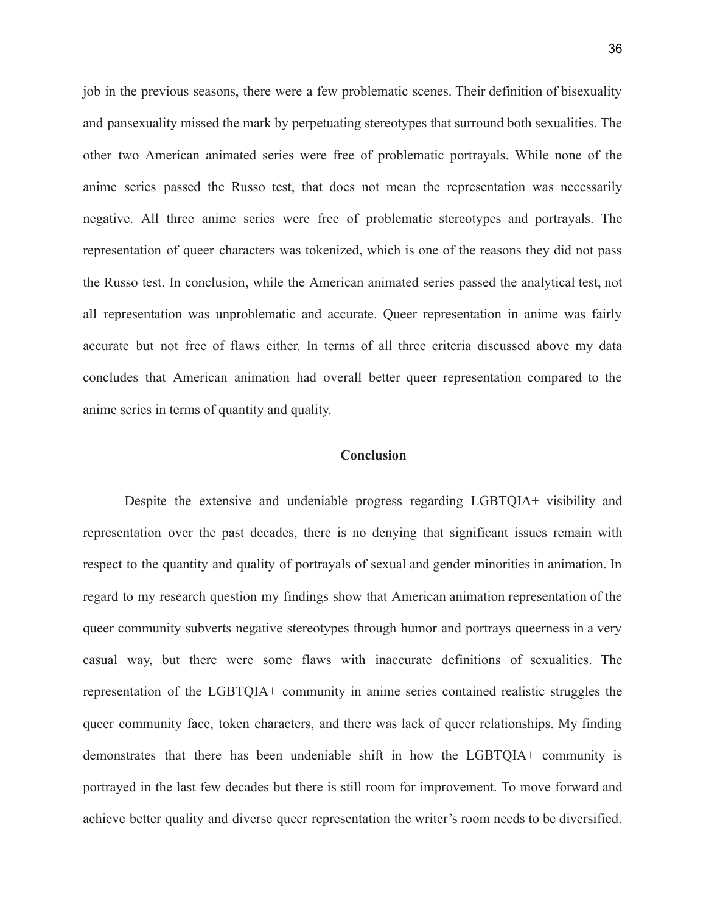job in the previous seasons, there were a few problematic scenes. Their definition of bisexuality and pansexuality missed the mark by perpetuating stereotypes that surround both sexualities. The other two American animated series were free of problematic portrayals. While none of the anime series passed the Russo test, that does not mean the representation was necessarily negative. All three anime series were free of problematic stereotypes and portrayals. The representation of queer characters was tokenized, which is one of the reasons they did not pass the Russo test. In conclusion, while the American animated series passed the analytical test, not all representation was unproblematic and accurate. Queer representation in anime was fairly accurate but not free of flaws either. In terms of all three criteria discussed above my data concludes that American animation had overall better queer representation compared to the anime series in terms of quantity and quality.

#### **Conclusion**

<span id="page-36-0"></span>Despite the extensive and undeniable progress regarding LGBTQIA+ visibility and representation over the past decades, there is no denying that significant issues remain with respect to the quantity and quality of portrayals of sexual and gender minorities in animation. In regard to my research question my findings show that American animation representation of the queer community subverts negative stereotypes through humor and portrays queerness in a very casual way, but there were some flaws with inaccurate definitions of sexualities. The representation of the LGBTQIA+ community in anime series contained realistic struggles the queer community face, token characters, and there was lack of queer relationships. My finding demonstrates that there has been undeniable shift in how the LGBTQIA+ community is portrayed in the last few decades but there is still room for improvement. To move forward and achieve better quality and diverse queer representation the writer's room needs to be diversified.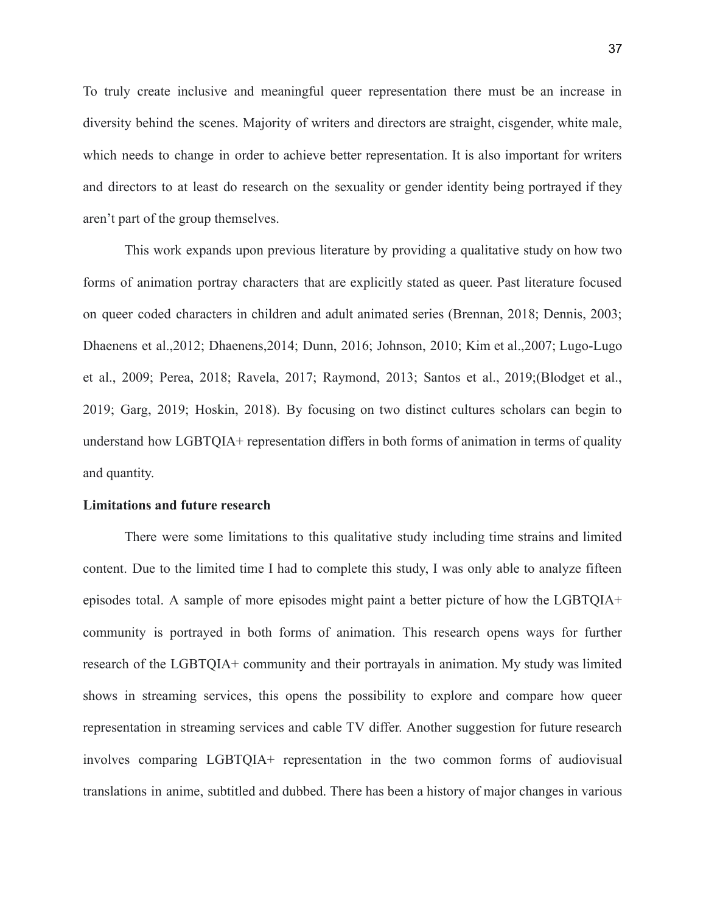To truly create inclusive and meaningful queer representation there must be an increase in diversity behind the scenes. Majority of writers and directors are straight, cisgender, white male, which needs to change in order to achieve better representation. It is also important for writers and directors to at least do research on the sexuality or gender identity being portrayed if they aren't part of the group themselves.

This work expands upon previous literature by providing a qualitative study on how two forms of animation portray characters that are explicitly stated as queer. Past literature focused on queer coded characters in children and adult animated series (Brennan, 2018; Dennis, 2003; Dhaenens et al.,2012; Dhaenens,2014; Dunn, 2016; Johnson, 2010; Kim et al.,2007; Lugo-Lugo et al., 2009; Perea, 2018; Ravela, 2017; Raymond, 2013; Santos et al., 2019;(Blodget et al., 2019; Garg, 2019; Hoskin, 2018). By focusing on two distinct cultures scholars can begin to understand how LGBTQIA+ representation differs in both forms of animation in terms of quality and quantity.

#### **Limitations and future research**

There were some limitations to this qualitative study including time strains and limited content. Due to the limited time I had to complete this study, I was only able to analyze fifteen episodes total. A sample of more episodes might paint a better picture of how the LGBTQIA+ community is portrayed in both forms of animation. This research opens ways for further research of the LGBTQIA+ community and their portrayals in animation. My study was limited shows in streaming services, this opens the possibility to explore and compare how queer representation in streaming services and cable TV differ. Another suggestion for future research involves comparing LGBTQIA+ representation in the two common forms of audiovisual translations in anime, subtitled and dubbed. There has been a history of major changes in various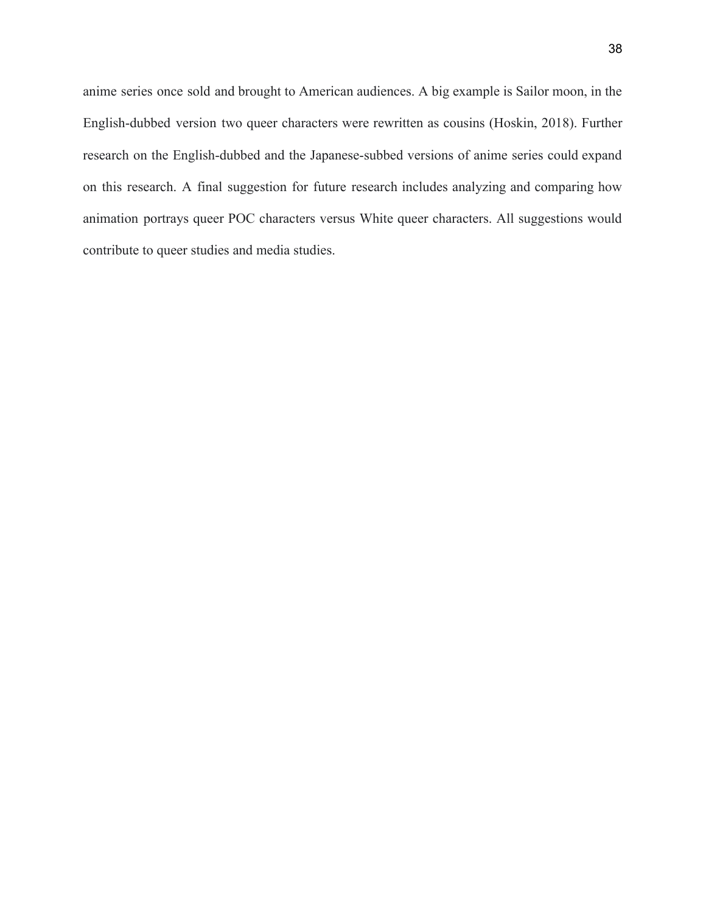anime series once sold and brought to American audiences. A big example is Sailor moon, in the English-dubbed version two queer characters were rewritten as cousins (Hoskin, 2018). Further research on the English-dubbed and the Japanese-subbed versions of anime series could expand on this research. A final suggestion for future research includes analyzing and comparing how animation portrays queer POC characters versus White queer characters. All suggestions would contribute to queer studies and media studies.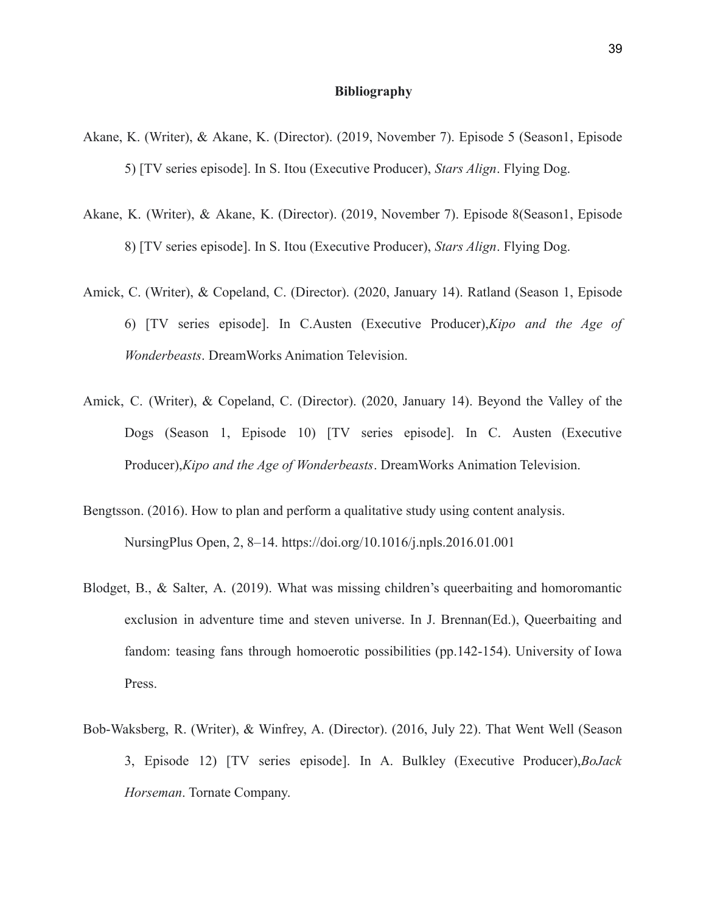#### **Bibliography**

- <span id="page-39-0"></span>Akane, K. (Writer), & Akane, K. (Director). (2019, November 7). Episode 5 (Season1, Episode 5) [TV series episode]. In S. Itou (Executive Producer), *Stars Align*. Flying Dog.
- Akane, K. (Writer), & Akane, K. (Director). (2019, November 7). Episode 8(Season1, Episode 8) [TV series episode]. In S. Itou (Executive Producer), *Stars Align*. Flying Dog.
- Amick, C. (Writer), & Copeland, C. (Director). (2020, January 14). Ratland (Season 1, Episode 6) [TV series episode]. In C.Austen (Executive Producer),*Kipo and the Age of Wonderbeasts*. DreamWorks Animation Television.
- Amick, C. (Writer), & Copeland, C. (Director). (2020, January 14). Beyond the Valley of the Dogs (Season 1, Episode 10) [TV series episode]. In C. Austen (Executive Producer),*Kipo and the Age of Wonderbeasts*. DreamWorks Animation Television.
- Bengtsson. (2016). How to plan and perform a qualitative study using content analysis. NursingPlus Open, 2, 8–14. https://doi.org/10.1016/j.npls.2016.01.001
- Blodget, B., & Salter, A. (2019). What was missing children's queerbaiting and homoromantic exclusion in adventure time and steven universe. In J. Brennan(Ed.), Queerbaiting and fandom: teasing fans through homoerotic possibilities (pp.142-154). University of Iowa Press.
- Bob-Waksberg, R. (Writer), & Winfrey, A. (Director). (2016, July 22). That Went Well (Season 3, Episode 12) [TV series episode]. In A. Bulkley (Executive Producer),*BoJack Horseman*. Tornate Company.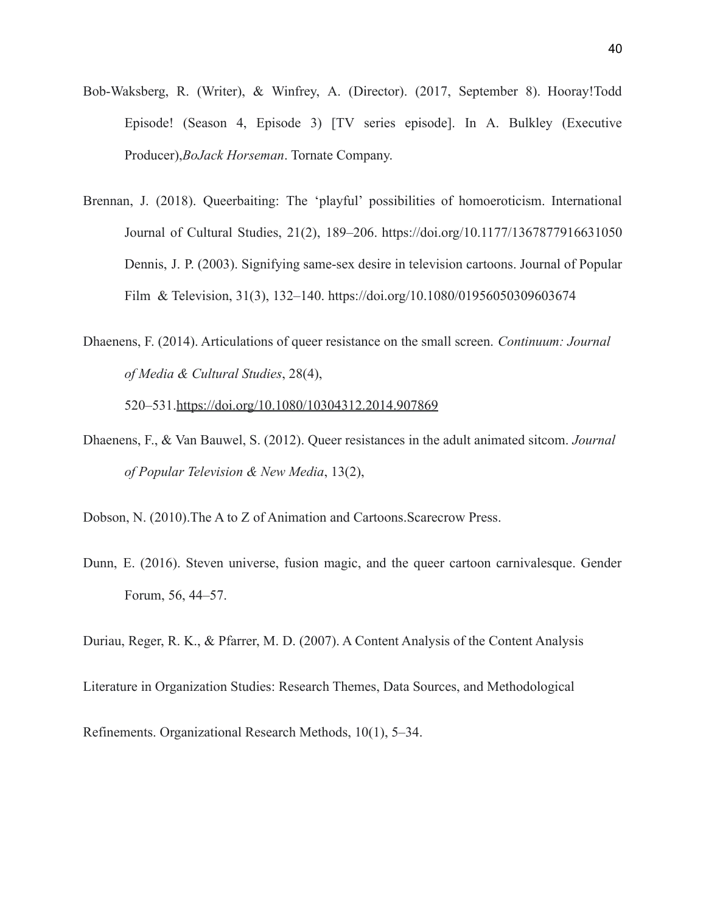- Bob-Waksberg, R. (Writer), & Winfrey, A. (Director). (2017, September 8). Hooray!Todd Episode! (Season 4, Episode 3) [TV series episode]. In A. Bulkley (Executive Producer),*BoJack Horseman*. Tornate Company.
- Brennan, J. (2018). Queerbaiting: The 'playful' possibilities of homoeroticism. International Journal of Cultural Studies, 21(2), 189–206. https://doi.org/10.1177/1367877916631050 Dennis, J. P. (2003). Signifying same-sex desire in television cartoons. Journal of Popular Film & Television, 31(3), 132–140. https://doi.org/10.1080/01956050309603674
- Dhaenens, F. (2014). Articulations of queer resistance on the small screen. *Continuum: Journal of Media & Cultural Studies*, 28(4),

520–531.https://doi.org/10.1080/10304312.2014.907869

- Dhaenens, F., & Van Bauwel, S. (2012). Queer resistances in the adult animated sitcom. *Journal of Popular Television & New Media*, 13(2),
- Dobson, N. (2010).The A to Z of Animation and Cartoons.Scarecrow Press.
- Dunn, E. (2016). Steven universe, fusion magic, and the queer cartoon carnivalesque. Gender Forum, 56, 44–57.

Duriau, Reger, R. K., & Pfarrer, M. D. (2007). A Content Analysis of the Content Analysis

Literature in Organization Studies: Research Themes, Data Sources, and Methodological

Refinements. Organizational Research Methods, 10(1), 5–34.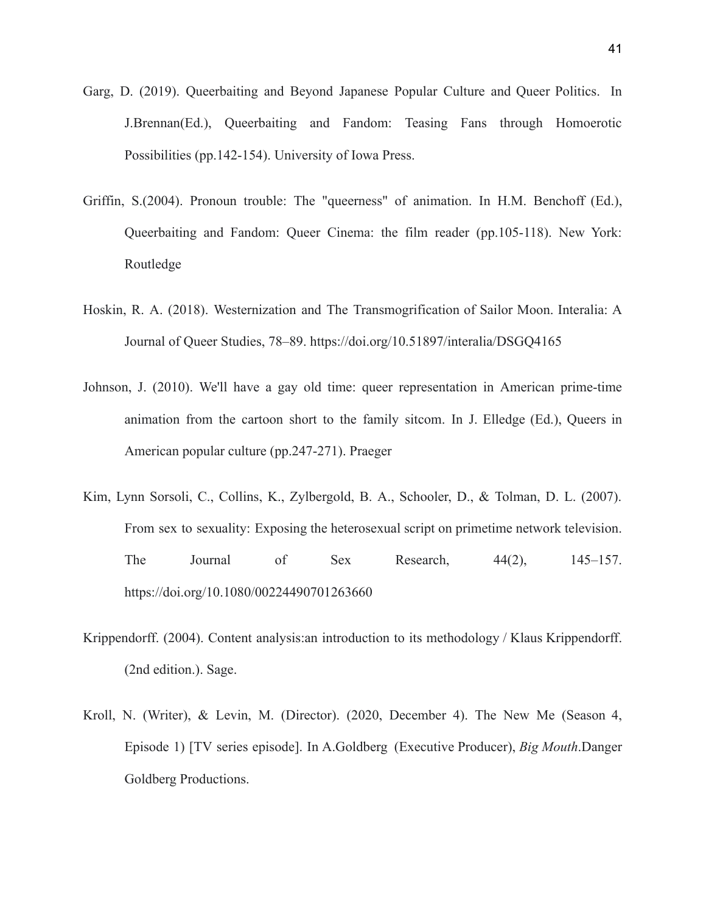- Garg, D. (2019). Queerbaiting and Beyond Japanese Popular Culture and Queer Politics. In J.Brennan(Ed.), Queerbaiting and Fandom: Teasing Fans through Homoerotic Possibilities (pp.142-154). University of Iowa Press.
- Griffin, S.(2004). Pronoun trouble: The "queerness" of animation. In H.M. Benchoff (Ed.), Queerbaiting and Fandom: Queer Cinema: the film reader (pp.105-118). New York: Routledge
- Hoskin, R. A. (2018). Westernization and The Transmogrification of Sailor Moon. Interalia: A Journal of Queer Studies, 78–89. https://doi.org/10.51897/interalia/DSGQ4165
- Johnson, J. (2010). We'll have a gay old time: queer representation in American prime-time animation from the cartoon short to the family sitcom. In J. Elledge (Ed.), Queers in American popular culture (pp.247-271). Praeger
- Kim, Lynn Sorsoli, C., Collins, K., Zylbergold, B. A., Schooler, D., & Tolman, D. L. (2007). From sex to sexuality: Exposing the heterosexual script on primetime network television. The Journal of Sex Research,  $44(2)$ ,  $145-157$ . https://doi.org/10.1080/00224490701263660
- Krippendorff. (2004). Content analysis:an introduction to its methodology / Klaus Krippendorff. (2nd edition.). Sage.
- Kroll, N. (Writer), & Levin, M. (Director). (2020, December 4). The New Me (Season 4, Episode 1) [TV series episode]. In A.Goldberg (Executive Producer), *Big Mouth*.Danger Goldberg Productions.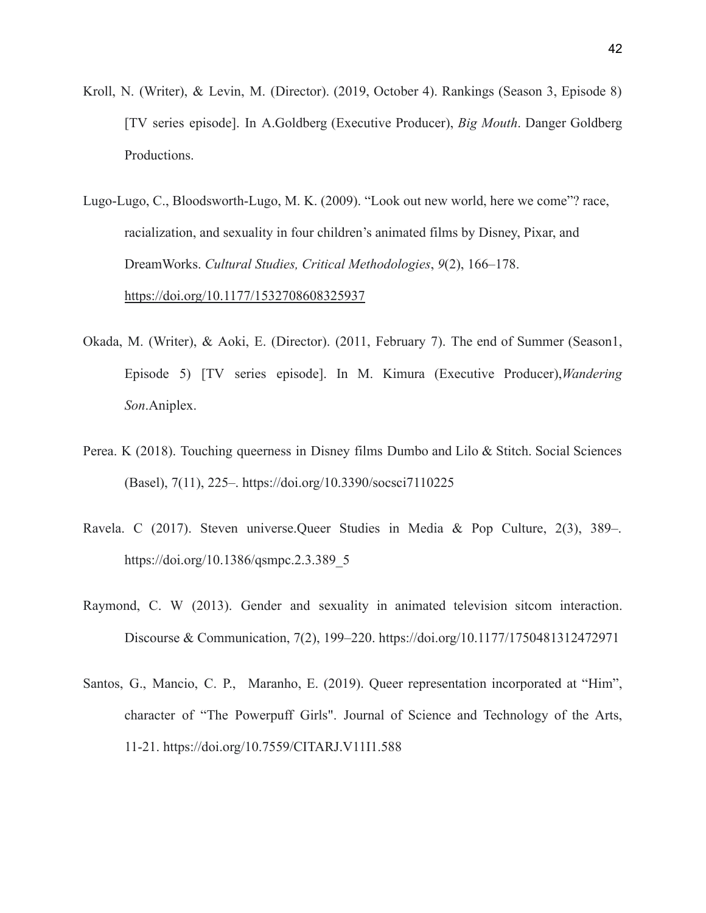- Kroll, N. (Writer), & Levin, M. (Director). (2019, October 4). Rankings (Season 3, Episode 8) [TV series episode]. In A.Goldberg (Executive Producer), *Big Mouth*. Danger Goldberg Productions.
- Lugo-Lugo, C., Bloodsworth-Lugo, M. K. (2009). "Look out new world, here we come"? race, racialization, and sexuality in four children's animated films by Disney, Pixar, and DreamWorks. *Cultural Studies, Critical Methodologies*, *9*(2), 166–178. https://doi.org/10.1177/1532708608325937
- Okada, M. (Writer), & Aoki, E. (Director). (2011, February 7). The end of Summer (Season1, Episode 5) [TV series episode]. In M. Kimura (Executive Producer),*Wandering Son*.Aniplex.
- Perea. K (2018). Touching queerness in Disney films Dumbo and Lilo & Stitch. Social Sciences (Basel), 7(11), 225–. https://doi.org/10.3390/socsci7110225
- Ravela. C (2017). Steven universe.Queer Studies in Media & Pop Culture, 2(3), 389–. https://doi.org/10.1386/qsmpc.2.3.389\_5
- Raymond, C. W (2013). Gender and sexuality in animated television sitcom interaction. Discourse & Communication, 7(2), 199–220. https://doi.org/10.1177/1750481312472971
- Santos, G., Mancio, C. P., Maranho, E. (2019). Queer representation incorporated at "Him", character of "The Powerpuff Girls". Journal of Science and Technology of the Arts, 11-21. https://doi.org/10.7559/CITARJ.V11I1.588